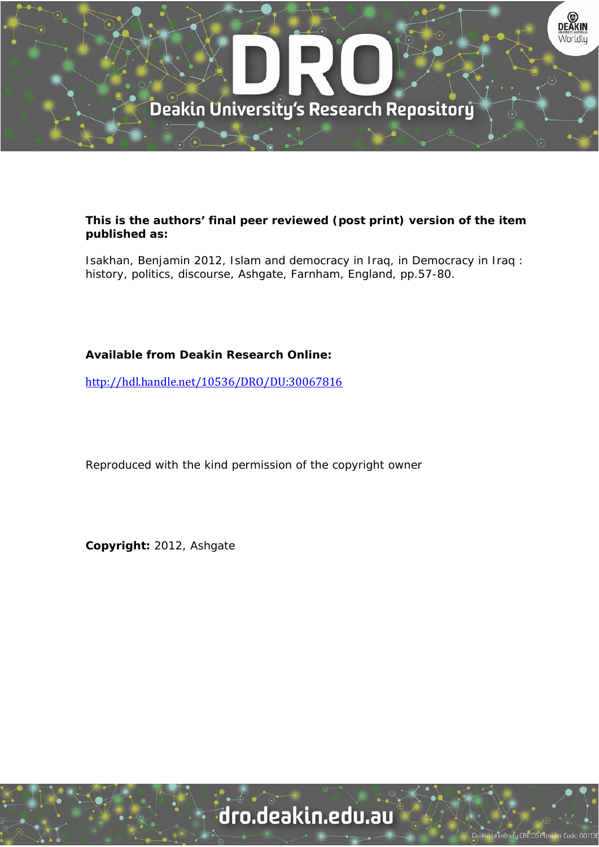

### **This is the authors' final peer reviewed (post print) version of the item published as:**

Isakhan, Benjamin 2012, Islam and democracy in Iraq, in Democracy in Iraq : history, politics, discourse, Ashgate, Farnham, England, pp.57-80.

## **Available from Deakin Research Online:**

http://hdl.handle.net/10536/DRO/DU:30067816

Reproduced with the kind permission of the copyright owner

**Copyright:** 2012, Ashgate

# dro.deakin.edu.au

ersity CRICOS Pro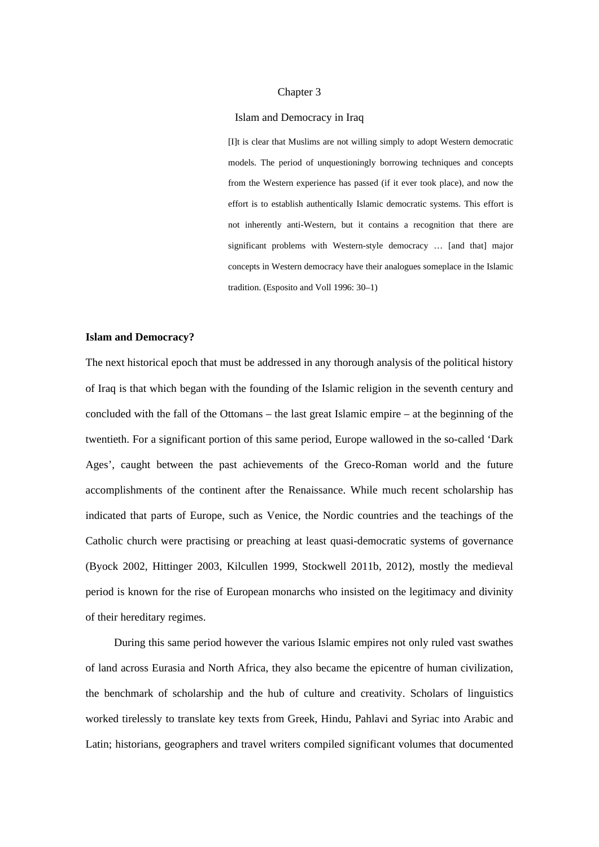#### Chapter 3

#### Islam and Democracy in Iraq

[I]t is clear that Muslims are not willing simply to adopt Western democratic models. The period of unquestioningly borrowing techniques and concepts from the Western experience has passed (if it ever took place), and now the effort is to establish authentically Islamic democratic systems. This effort is not inherently anti-Western, but it contains a recognition that there are significant problems with Western-style democracy … [and that] major concepts in Western democracy have their analogues someplace in the Islamic tradition. (Esposito and Voll 1996: 30–1)

#### **Islam and Democracy?**

The next historical epoch that must be addressed in any thorough analysis of the political history of Iraq is that which began with the founding of the Islamic religion in the seventh century and concluded with the fall of the Ottomans – the last great Islamic empire – at the beginning of the twentieth. For a significant portion of this same period, Europe wallowed in the so-called 'Dark Ages', caught between the past achievements of the Greco-Roman world and the future accomplishments of the continent after the Renaissance. While much recent scholarship has indicated that parts of Europe, such as Venice, the Nordic countries and the teachings of the Catholic church were practising or preaching at least quasi-democratic systems of governance (Byock 2002, Hittinger 2003, Kilcullen 1999, Stockwell 2011b, 2012), mostly the medieval period is known for the rise of European monarchs who insisted on the legitimacy and divinity of their hereditary regimes.

During this same period however the various Islamic empires not only ruled vast swathes of land across Eurasia and North Africa, they also became the epicentre of human civilization, the benchmark of scholarship and the hub of culture and creativity. Scholars of linguistics worked tirelessly to translate key texts from Greek, Hindu, Pahlavi and Syriac into Arabic and Latin; historians, geographers and travel writers compiled significant volumes that documented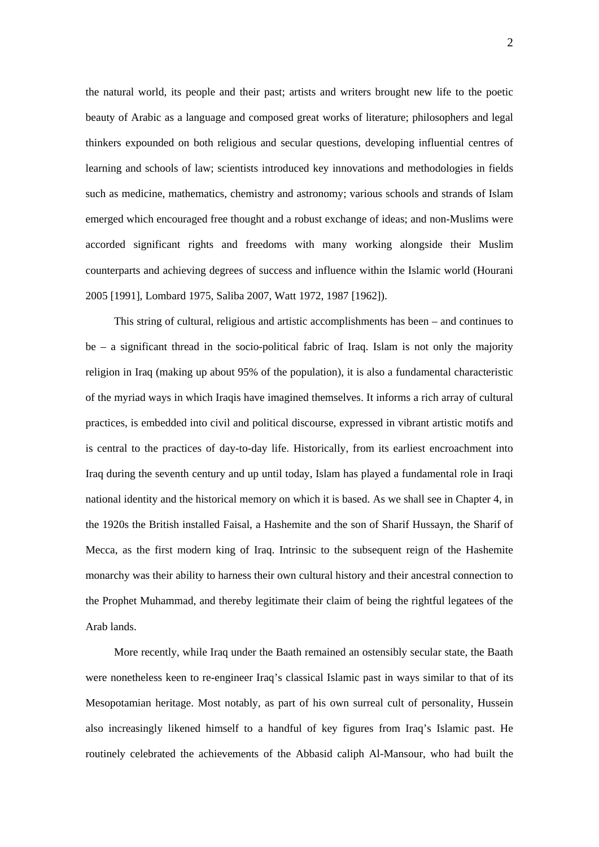the natural world, its people and their past; artists and writers brought new life to the poetic beauty of Arabic as a language and composed great works of literature; philosophers and legal thinkers expounded on both religious and secular questions, developing influential centres of learning and schools of law; scientists introduced key innovations and methodologies in fields such as medicine, mathematics, chemistry and astronomy; various schools and strands of Islam emerged which encouraged free thought and a robust exchange of ideas; and non-Muslims were accorded significant rights and freedoms with many working alongside their Muslim counterparts and achieving degrees of success and influence within the Islamic world (Hourani 2005 [1991], Lombard 1975, Saliba 2007, Watt 1972, 1987 [1962]).

This string of cultural, religious and artistic accomplishments has been – and continues to be – a significant thread in the socio-political fabric of Iraq. Islam is not only the majority religion in Iraq (making up about 95% of the population), it is also a fundamental characteristic of the myriad ways in which Iraqis have imagined themselves. It informs a rich array of cultural practices, is embedded into civil and political discourse, expressed in vibrant artistic motifs and is central to the practices of day-to-day life. Historically, from its earliest encroachment into Iraq during the seventh century and up until today, Islam has played a fundamental role in Iraqi national identity and the historical memory on which it is based. As we shall see in Chapter 4, in the 1920s the British installed Faisal, a Hashemite and the son of Sharif Hussayn, the Sharif of Mecca, as the first modern king of Iraq. Intrinsic to the subsequent reign of the Hashemite monarchy was their ability to harness their own cultural history and their ancestral connection to the Prophet Muhammad, and thereby legitimate their claim of being the rightful legatees of the Arab lands.

More recently, while Iraq under the Baath remained an ostensibly secular state, the Baath were nonetheless keen to re-engineer Iraq's classical Islamic past in ways similar to that of its Mesopotamian heritage. Most notably, as part of his own surreal cult of personality, Hussein also increasingly likened himself to a handful of key figures from Iraq's Islamic past. He routinely celebrated the achievements of the Abbasid caliph Al-Mansour, who had built the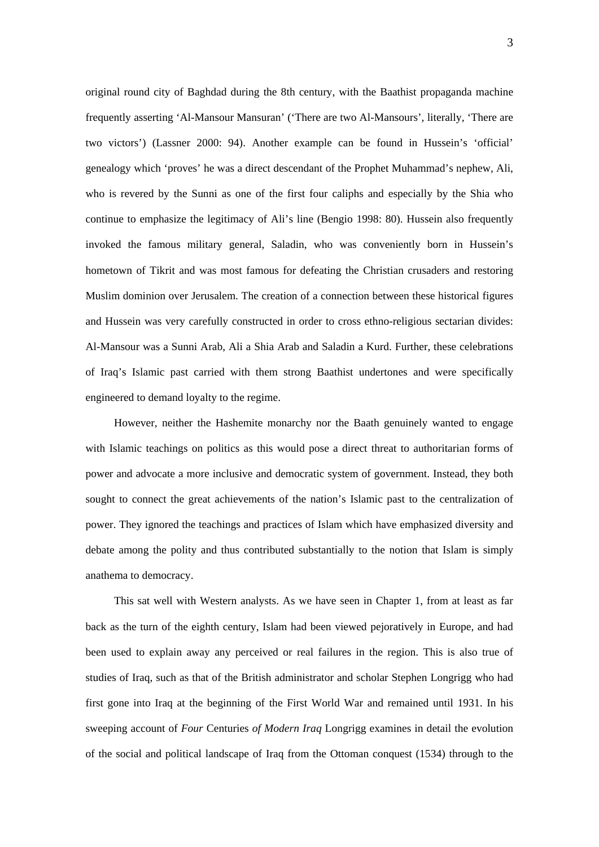original round city of Baghdad during the 8th century, with the Baathist propaganda machine frequently asserting 'Al-Mansour Mansuran' ('There are two Al-Mansours', literally, 'There are two victors') (Lassner 2000: 94). Another example can be found in Hussein's 'official' genealogy which 'proves' he was a direct descendant of the Prophet Muhammad's nephew, Ali, who is revered by the Sunni as one of the first four caliphs and especially by the Shia who continue to emphasize the legitimacy of Ali's line (Bengio 1998: 80). Hussein also frequently invoked the famous military general, Saladin, who was conveniently born in Hussein's hometown of Tikrit and was most famous for defeating the Christian crusaders and restoring Muslim dominion over Jerusalem. The creation of a connection between these historical figures and Hussein was very carefully constructed in order to cross ethno-religious sectarian divides: Al-Mansour was a Sunni Arab, Ali a Shia Arab and Saladin a Kurd. Further, these celebrations of Iraq's Islamic past carried with them strong Baathist undertones and were specifically engineered to demand loyalty to the regime.

However, neither the Hashemite monarchy nor the Baath genuinely wanted to engage with Islamic teachings on politics as this would pose a direct threat to authoritarian forms of power and advocate a more inclusive and democratic system of government. Instead, they both sought to connect the great achievements of the nation's Islamic past to the centralization of power. They ignored the teachings and practices of Islam which have emphasized diversity and debate among the polity and thus contributed substantially to the notion that Islam is simply anathema to democracy.

This sat well with Western analysts. As we have seen in Chapter 1, from at least as far back as the turn of the eighth century, Islam had been viewed pejoratively in Europe, and had been used to explain away any perceived or real failures in the region. This is also true of studies of Iraq, such as that of the British administrator and scholar Stephen Longrigg who had first gone into Iraq at the beginning of the First World War and remained until 1931. In his sweeping account of *Four* Centuries *of Modern Iraq* Longrigg examines in detail the evolution of the social and political landscape of Iraq from the Ottoman conquest (1534) through to the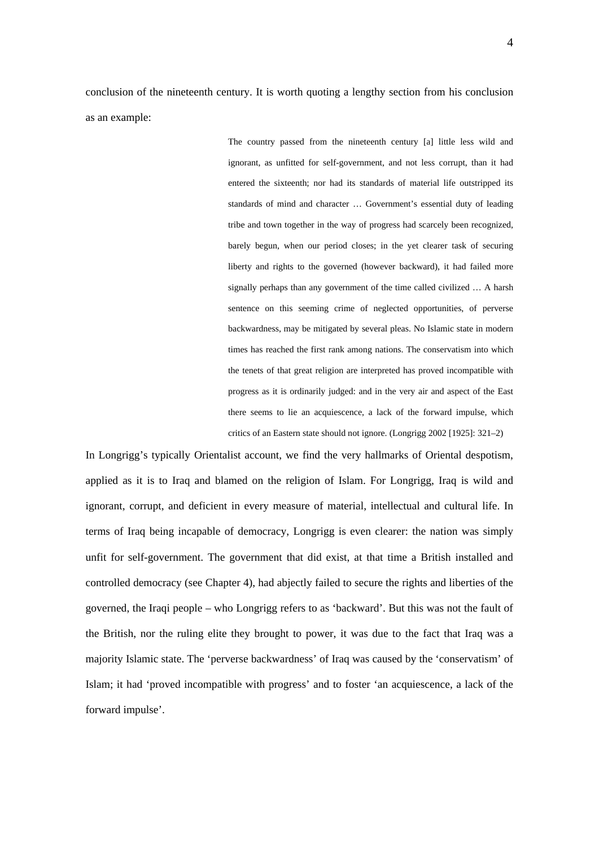conclusion of the nineteenth century. It is worth quoting a lengthy section from his conclusion as an example:

> The country passed from the nineteenth century [a] little less wild and ignorant, as unfitted for self-government, and not less corrupt, than it had entered the sixteenth; nor had its standards of material life outstripped its standards of mind and character … Government's essential duty of leading tribe and town together in the way of progress had scarcely been recognized, barely begun, when our period closes; in the yet clearer task of securing liberty and rights to the governed (however backward), it had failed more signally perhaps than any government of the time called civilized … A harsh sentence on this seeming crime of neglected opportunities, of perverse backwardness, may be mitigated by several pleas. No Islamic state in modern times has reached the first rank among nations. The conservatism into which the tenets of that great religion are interpreted has proved incompatible with progress as it is ordinarily judged: and in the very air and aspect of the East there seems to lie an acquiescence, a lack of the forward impulse, which critics of an Eastern state should not ignore. (Longrigg 2002 [1925]: 321–2)

In Longrigg's typically Orientalist account, we find the very hallmarks of Oriental despotism, applied as it is to Iraq and blamed on the religion of Islam. For Longrigg, Iraq is wild and ignorant, corrupt, and deficient in every measure of material, intellectual and cultural life. In terms of Iraq being incapable of democracy, Longrigg is even clearer: the nation was simply unfit for self-government. The government that did exist, at that time a British installed and controlled democracy (see Chapter 4), had abjectly failed to secure the rights and liberties of the governed, the Iraqi people – who Longrigg refers to as 'backward'. But this was not the fault of the British, nor the ruling elite they brought to power, it was due to the fact that Iraq was a majority Islamic state. The 'perverse backwardness' of Iraq was caused by the 'conservatism' of Islam; it had 'proved incompatible with progress' and to foster 'an acquiescence, a lack of the forward impulse'.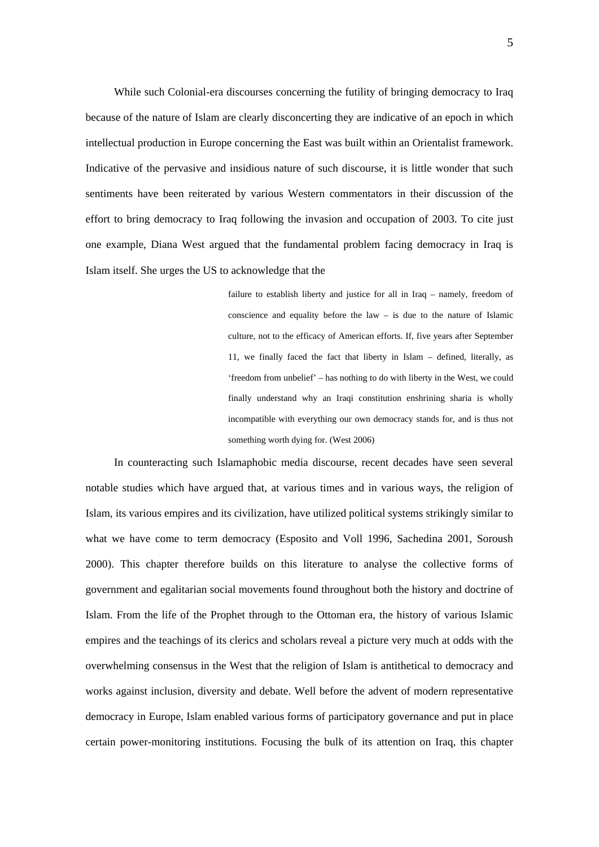While such Colonial-era discourses concerning the futility of bringing democracy to Iraq because of the nature of Islam are clearly disconcerting they are indicative of an epoch in which intellectual production in Europe concerning the East was built within an Orientalist framework. Indicative of the pervasive and insidious nature of such discourse, it is little wonder that such sentiments have been reiterated by various Western commentators in their discussion of the effort to bring democracy to Iraq following the invasion and occupation of 2003. To cite just one example, Diana West argued that the fundamental problem facing democracy in Iraq is Islam itself. She urges the US to acknowledge that the

> failure to establish liberty and justice for all in Iraq – namely, freedom of conscience and equality before the law – is due to the nature of Islamic culture, not to the efficacy of American efforts. If, five years after September 11, we finally faced the fact that liberty in Islam – defined, literally, as 'freedom from unbelief' – has nothing to do with liberty in the West, we could finally understand why an Iraqi constitution enshrining sharia is wholly incompatible with everything our own democracy stands for, and is thus not something worth dying for. (West 2006)

In counteracting such Islamaphobic media discourse, recent decades have seen several notable studies which have argued that, at various times and in various ways, the religion of Islam, its various empires and its civilization, have utilized political systems strikingly similar to what we have come to term democracy (Esposito and Voll 1996, Sachedina 2001, Soroush 2000). This chapter therefore builds on this literature to analyse the collective forms of government and egalitarian social movements found throughout both the history and doctrine of Islam. From the life of the Prophet through to the Ottoman era, the history of various Islamic empires and the teachings of its clerics and scholars reveal a picture very much at odds with the overwhelming consensus in the West that the religion of Islam is antithetical to democracy and works against inclusion, diversity and debate. Well before the advent of modern representative democracy in Europe, Islam enabled various forms of participatory governance and put in place certain power-monitoring institutions. Focusing the bulk of its attention on Iraq, this chapter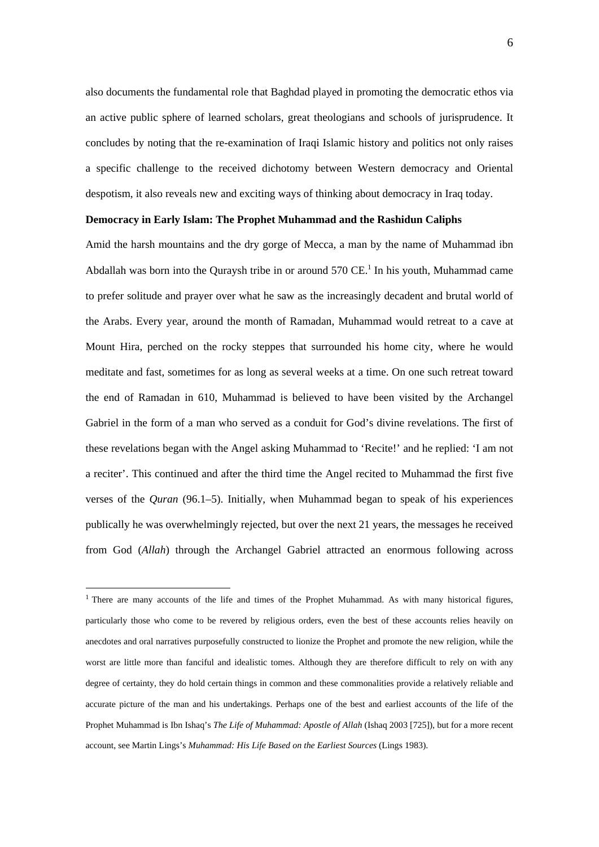also documents the fundamental role that Baghdad played in promoting the democratic ethos via an active public sphere of learned scholars, great theologians and schools of jurisprudence. It concludes by noting that the re-examination of Iraqi Islamic history and politics not only raises a specific challenge to the received dichotomy between Western democracy and Oriental despotism, it also reveals new and exciting ways of thinking about democracy in Iraq today.

#### **Democracy in Early Islam: The Prophet Muhammad and the Rashidun Caliphs**

Amid the harsh mountains and the dry gorge of Mecca, a man by the name of Muhammad ibn Abdallah was born into the Quraysh tribe in or around  $570 \text{ CE}$ .<sup>1</sup> In his youth, Muhammad came to prefer solitude and prayer over what he saw as the increasingly decadent and brutal world of the Arabs. Every year, around the month of Ramadan, Muhammad would retreat to a cave at Mount Hira, perched on the rocky steppes that surrounded his home city, where he would meditate and fast, sometimes for as long as several weeks at a time. On one such retreat toward the end of Ramadan in 610, Muhammad is believed to have been visited by the Archangel Gabriel in the form of a man who served as a conduit for God's divine revelations. The first of these revelations began with the Angel asking Muhammad to 'Recite!' and he replied: 'I am not a reciter'. This continued and after the third time the Angel recited to Muhammad the first five verses of the *Quran* (96.1–5). Initially, when Muhammad began to speak of his experiences publically he was overwhelmingly rejected, but over the next 21 years, the messages he received from God (*Allah*) through the Archangel Gabriel attracted an enormous following across

1

<sup>&</sup>lt;sup>1</sup> There are many accounts of the life and times of the Prophet Muhammad. As with many historical figures, particularly those who come to be revered by religious orders, even the best of these accounts relies heavily on anecdotes and oral narratives purposefully constructed to lionize the Prophet and promote the new religion, while the worst are little more than fanciful and idealistic tomes. Although they are therefore difficult to rely on with any degree of certainty, they do hold certain things in common and these commonalities provide a relatively reliable and accurate picture of the man and his undertakings. Perhaps one of the best and earliest accounts of the life of the Prophet Muhammad is Ibn Ishaq's *The Life of Muhammad: Apostle of Allah* (Ishaq 2003 [725]), but for a more recent account, see Martin Lings's *Muhammad: His Life Based on the Earliest Sources* (Lings 1983).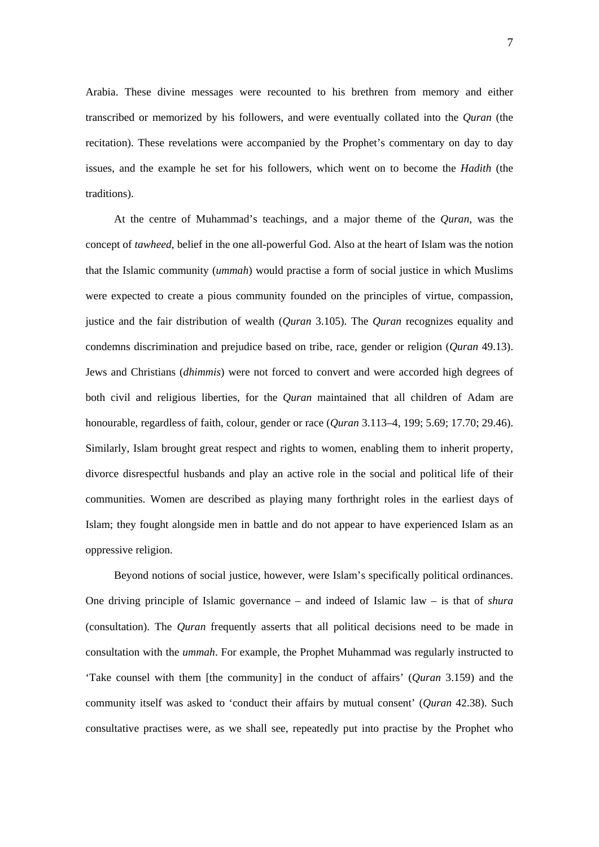Arabia. These divine messages were recounted to his brethren from memory and either transcribed or memorized by his followers, and were eventually collated into the *Quran* (the recitation). These revelations were accompanied by the Prophet's commentary on day to day issues, and the example he set for his followers, which went on to become the *Hadith* (the traditions).

At the centre of Muhammad's teachings, and a major theme of the *Quran*, was the concept of *tawheed*, belief in the one all-powerful God. Also at the heart of Islam was the notion that the Islamic community (*ummah*) would practise a form of social justice in which Muslims were expected to create a pious community founded on the principles of virtue, compassion, justice and the fair distribution of wealth (*Quran* 3.105). The *Quran* recognizes equality and condemns discrimination and prejudice based on tribe, race, gender or religion (*Quran* 49.13). Jews and Christians (*dhimmis*) were not forced to convert and were accorded high degrees of both civil and religious liberties, for the *Quran* maintained that all children of Adam are honourable, regardless of faith, colour, gender or race (*Quran* 3.113–4, 199; 5.69; 17.70; 29.46). Similarly, Islam brought great respect and rights to women, enabling them to inherit property, divorce disrespectful husbands and play an active role in the social and political life of their communities. Women are described as playing many forthright roles in the earliest days of Islam; they fought alongside men in battle and do not appear to have experienced Islam as an oppressive religion.

Beyond notions of social justice, however, were Islam's specifically political ordinances. One driving principle of Islamic governance – and indeed of Islamic law – is that of *shura* (consultation). The *Quran* frequently asserts that all political decisions need to be made in consultation with the *ummah*. For example, the Prophet Muhammad was regularly instructed to 'Take counsel with them [the community] in the conduct of affairs' (*Quran* 3.159) and the community itself was asked to 'conduct their affairs by mutual consent' (*Quran* 42.38). Such consultative practises were, as we shall see, repeatedly put into practise by the Prophet who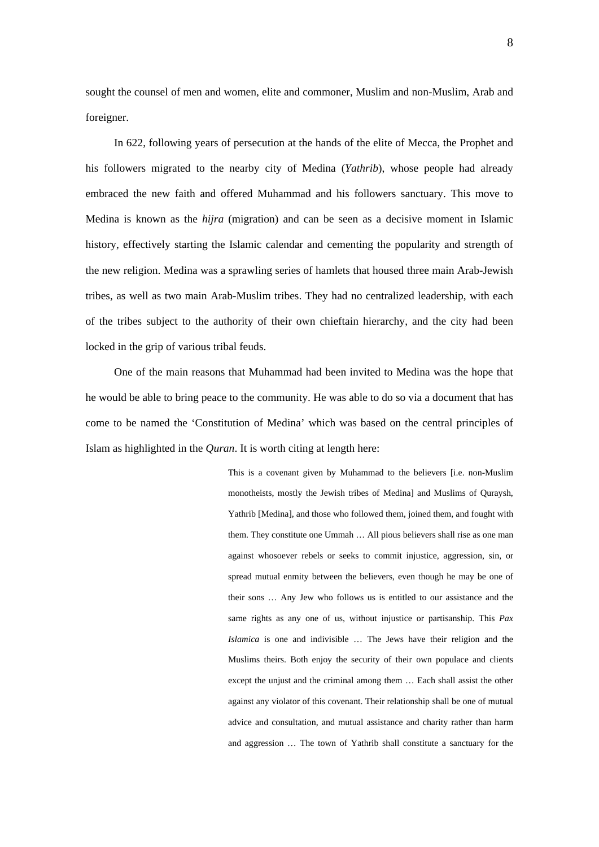sought the counsel of men and women, elite and commoner, Muslim and non-Muslim, Arab and foreigner.

In 622, following years of persecution at the hands of the elite of Mecca, the Prophet and his followers migrated to the nearby city of Medina (*Yathrib*), whose people had already embraced the new faith and offered Muhammad and his followers sanctuary. This move to Medina is known as the *hijra* (migration) and can be seen as a decisive moment in Islamic history, effectively starting the Islamic calendar and cementing the popularity and strength of the new religion. Medina was a sprawling series of hamlets that housed three main Arab-Jewish tribes, as well as two main Arab-Muslim tribes. They had no centralized leadership, with each of the tribes subject to the authority of their own chieftain hierarchy, and the city had been locked in the grip of various tribal feuds.

One of the main reasons that Muhammad had been invited to Medina was the hope that he would be able to bring peace to the community. He was able to do so via a document that has come to be named the 'Constitution of Medina' which was based on the central principles of Islam as highlighted in the *Quran*. It is worth citing at length here:

> This is a covenant given by Muhammad to the believers [i.e. non-Muslim monotheists, mostly the Jewish tribes of Medina] and Muslims of Quraysh, Yathrib [Medina], and those who followed them, joined them, and fought with them. They constitute one Ummah … All pious believers shall rise as one man against whosoever rebels or seeks to commit injustice, aggression, sin, or spread mutual enmity between the believers, even though he may be one of their sons … Any Jew who follows us is entitled to our assistance and the same rights as any one of us, without injustice or partisanship. This *Pax Islamica* is one and indivisible … The Jews have their religion and the Muslims theirs. Both enjoy the security of their own populace and clients except the unjust and the criminal among them … Each shall assist the other against any violator of this covenant. Their relationship shall be one of mutual advice and consultation, and mutual assistance and charity rather than harm and aggression … The town of Yathrib shall constitute a sanctuary for the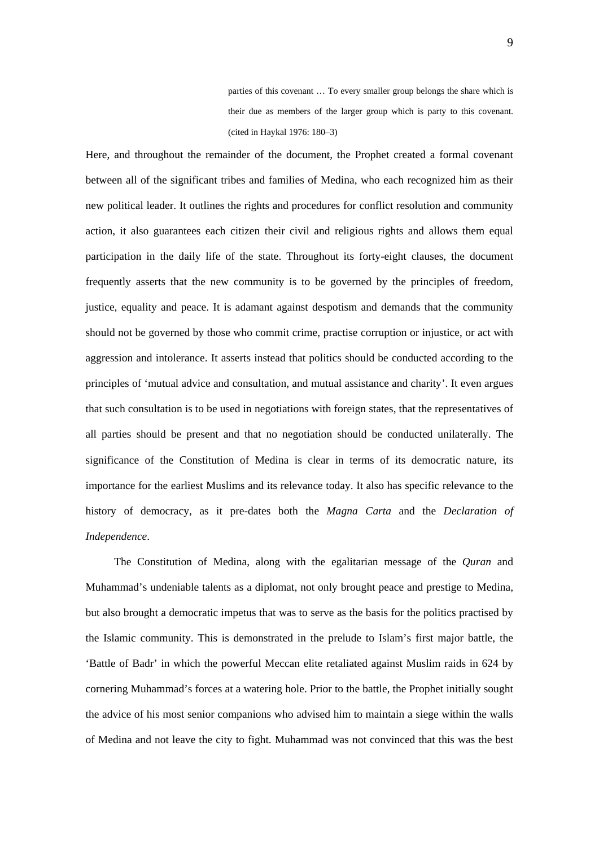parties of this covenant … To every smaller group belongs the share which is their due as members of the larger group which is party to this covenant. (cited in Haykal 1976: 180–3)

Here, and throughout the remainder of the document, the Prophet created a formal covenant between all of the significant tribes and families of Medina, who each recognized him as their new political leader. It outlines the rights and procedures for conflict resolution and community action, it also guarantees each citizen their civil and religious rights and allows them equal participation in the daily life of the state. Throughout its forty-eight clauses, the document frequently asserts that the new community is to be governed by the principles of freedom, justice, equality and peace. It is adamant against despotism and demands that the community should not be governed by those who commit crime, practise corruption or injustice, or act with aggression and intolerance. It asserts instead that politics should be conducted according to the principles of 'mutual advice and consultation, and mutual assistance and charity'. It even argues that such consultation is to be used in negotiations with foreign states, that the representatives of all parties should be present and that no negotiation should be conducted unilaterally. The significance of the Constitution of Medina is clear in terms of its democratic nature, its importance for the earliest Muslims and its relevance today. It also has specific relevance to the history of democracy, as it pre-dates both the *Magna Carta* and the *Declaration of Independence*.

The Constitution of Medina, along with the egalitarian message of the *Quran* and Muhammad's undeniable talents as a diplomat, not only brought peace and prestige to Medina, but also brought a democratic impetus that was to serve as the basis for the politics practised by the Islamic community. This is demonstrated in the prelude to Islam's first major battle, the 'Battle of Badr' in which the powerful Meccan elite retaliated against Muslim raids in 624 by cornering Muhammad's forces at a watering hole. Prior to the battle, the Prophet initially sought the advice of his most senior companions who advised him to maintain a siege within the walls of Medina and not leave the city to fight. Muhammad was not convinced that this was the best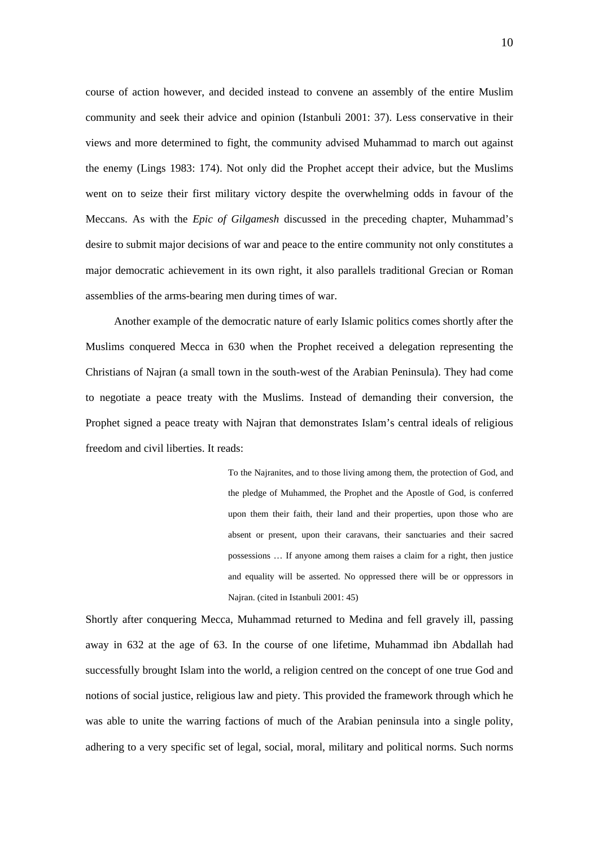course of action however, and decided instead to convene an assembly of the entire Muslim community and seek their advice and opinion (Istanbuli 2001: 37). Less conservative in their views and more determined to fight, the community advised Muhammad to march out against the enemy (Lings 1983: 174). Not only did the Prophet accept their advice, but the Muslims went on to seize their first military victory despite the overwhelming odds in favour of the Meccans. As with the *Epic of Gilgamesh* discussed in the preceding chapter, Muhammad's desire to submit major decisions of war and peace to the entire community not only constitutes a major democratic achievement in its own right, it also parallels traditional Grecian or Roman assemblies of the arms-bearing men during times of war.

Another example of the democratic nature of early Islamic politics comes shortly after the Muslims conquered Mecca in 630 when the Prophet received a delegation representing the Christians of Najran (a small town in the south-west of the Arabian Peninsula). They had come to negotiate a peace treaty with the Muslims. Instead of demanding their conversion, the Prophet signed a peace treaty with Najran that demonstrates Islam's central ideals of religious freedom and civil liberties. It reads:

> To the Najranites, and to those living among them, the protection of God, and the pledge of Muhammed, the Prophet and the Apostle of God, is conferred upon them their faith, their land and their properties, upon those who are absent or present, upon their caravans, their sanctuaries and their sacred possessions … If anyone among them raises a claim for a right, then justice and equality will be asserted. No oppressed there will be or oppressors in Najran. (cited in Istanbuli 2001: 45)

Shortly after conquering Mecca, Muhammad returned to Medina and fell gravely ill, passing away in 632 at the age of 63. In the course of one lifetime, Muhammad ibn Abdallah had successfully brought Islam into the world, a religion centred on the concept of one true God and notions of social justice, religious law and piety. This provided the framework through which he was able to unite the warring factions of much of the Arabian peninsula into a single polity, adhering to a very specific set of legal, social, moral, military and political norms. Such norms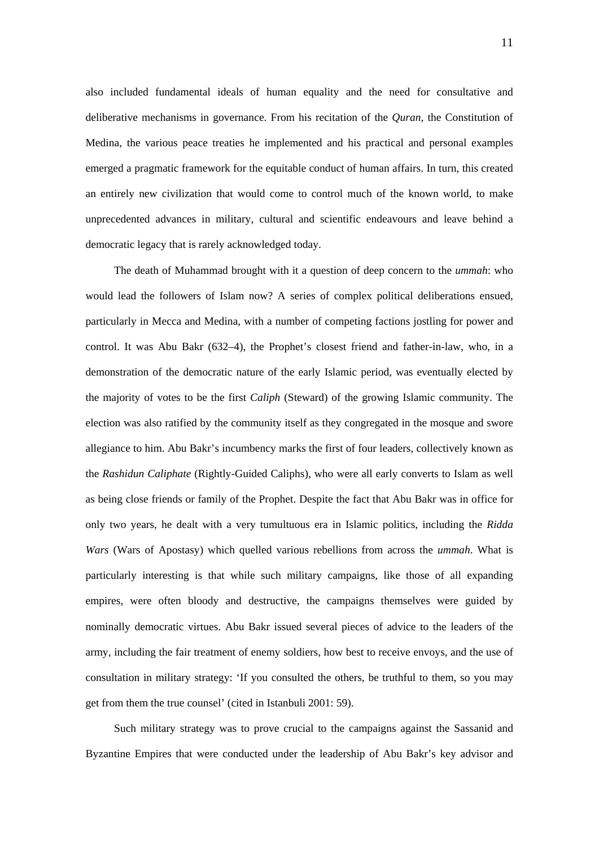also included fundamental ideals of human equality and the need for consultative and deliberative mechanisms in governance. From his recitation of the *Quran*, the Constitution of Medina, the various peace treaties he implemented and his practical and personal examples emerged a pragmatic framework for the equitable conduct of human affairs. In turn, this created an entirely new civilization that would come to control much of the known world, to make unprecedented advances in military, cultural and scientific endeavours and leave behind a democratic legacy that is rarely acknowledged today.

The death of Muhammad brought with it a question of deep concern to the *ummah*: who would lead the followers of Islam now? A series of complex political deliberations ensued, particularly in Mecca and Medina, with a number of competing factions jostling for power and control. It was Abu Bakr (632–4), the Prophet's closest friend and father-in-law, who, in a demonstration of the democratic nature of the early Islamic period, was eventually elected by the majority of votes to be the first *Caliph* (Steward) of the growing Islamic community. The election was also ratified by the community itself as they congregated in the mosque and swore allegiance to him. Abu Bakr's incumbency marks the first of four leaders, collectively known as the *Rashidun Caliphate* (Rightly-Guided Caliphs), who were all early converts to Islam as well as being close friends or family of the Prophet. Despite the fact that Abu Bakr was in office for only two years, he dealt with a very tumultuous era in Islamic politics, including the *Ridda Wars* (Wars of Apostasy) which quelled various rebellions from across the *ummah*. What is particularly interesting is that while such military campaigns, like those of all expanding empires, were often bloody and destructive, the campaigns themselves were guided by nominally democratic virtues. Abu Bakr issued several pieces of advice to the leaders of the army, including the fair treatment of enemy soldiers, how best to receive envoys, and the use of consultation in military strategy: 'If you consulted the others, be truthful to them, so you may get from them the true counsel' (cited in Istanbuli 2001: 59).

Such military strategy was to prove crucial to the campaigns against the Sassanid and Byzantine Empires that were conducted under the leadership of Abu Bakr's key advisor and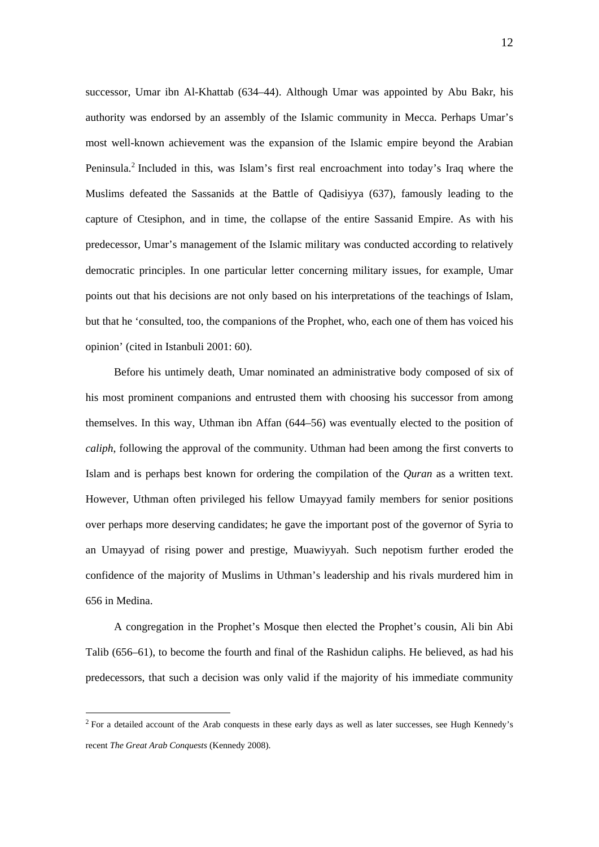successor, Umar ibn Al-Khattab (634–44). Although Umar was appointed by Abu Bakr, his authority was endorsed by an assembly of the Islamic community in Mecca. Perhaps Umar's most well-known achievement was the expansion of the Islamic empire beyond the Arabian Peninsula.<sup>2</sup> Included in this, was Islam's first real encroachment into today's Iraq where the Muslims defeated the Sassanids at the Battle of Qadisiyya (637), famously leading to the capture of Ctesiphon, and in time, the collapse of the entire Sassanid Empire. As with his predecessor, Umar's management of the Islamic military was conducted according to relatively democratic principles. In one particular letter concerning military issues, for example, Umar points out that his decisions are not only based on his interpretations of the teachings of Islam, but that he 'consulted, too, the companions of the Prophet, who, each one of them has voiced his opinion' (cited in Istanbuli 2001: 60).

Before his untimely death, Umar nominated an administrative body composed of six of his most prominent companions and entrusted them with choosing his successor from among themselves. In this way, Uthman ibn Affan (644–56) was eventually elected to the position of *caliph*, following the approval of the community. Uthman had been among the first converts to Islam and is perhaps best known for ordering the compilation of the *Quran* as a written text. However, Uthman often privileged his fellow Umayyad family members for senior positions over perhaps more deserving candidates; he gave the important post of the governor of Syria to an Umayyad of rising power and prestige, Muawiyyah. Such nepotism further eroded the confidence of the majority of Muslims in Uthman's leadership and his rivals murdered him in 656 in Medina.

A congregation in the Prophet's Mosque then elected the Prophet's cousin, Ali bin Abi Talib (656–61), to become the fourth and final of the Rashidun caliphs. He believed, as had his predecessors, that such a decision was only valid if the majority of his immediate community

<u>.</u>

 $2$  For a detailed account of the Arab conquests in these early days as well as later successes, see Hugh Kennedy's recent *The Great Arab Conquests* (Kennedy 2008).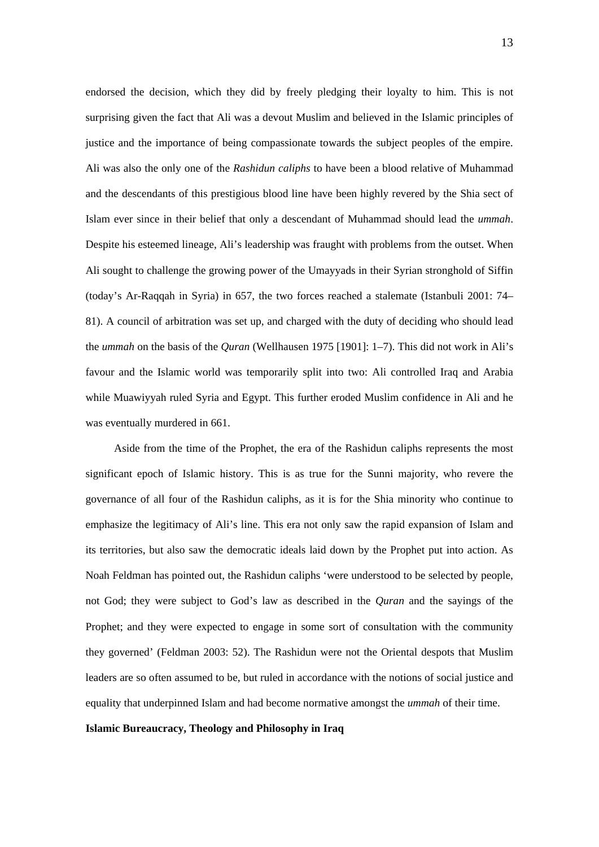endorsed the decision, which they did by freely pledging their loyalty to him. This is not surprising given the fact that Ali was a devout Muslim and believed in the Islamic principles of justice and the importance of being compassionate towards the subject peoples of the empire. Ali was also the only one of the *Rashidun caliphs* to have been a blood relative of Muhammad and the descendants of this prestigious blood line have been highly revered by the Shia sect of Islam ever since in their belief that only a descendant of Muhammad should lead the *ummah*. Despite his esteemed lineage, Ali's leadership was fraught with problems from the outset. When Ali sought to challenge the growing power of the Umayyads in their Syrian stronghold of Siffin (today's Ar-Raqqah in Syria) in 657, the two forces reached a stalemate (Istanbuli 2001: 74– 81). A council of arbitration was set up, and charged with the duty of deciding who should lead the *ummah* on the basis of the *Quran* (Wellhausen 1975 [1901]: 1–7). This did not work in Ali's favour and the Islamic world was temporarily split into two: Ali controlled Iraq and Arabia while Muawiyyah ruled Syria and Egypt. This further eroded Muslim confidence in Ali and he was eventually murdered in 661.

Aside from the time of the Prophet, the era of the Rashidun caliphs represents the most significant epoch of Islamic history. This is as true for the Sunni majority, who revere the governance of all four of the Rashidun caliphs, as it is for the Shia minority who continue to emphasize the legitimacy of Ali's line. This era not only saw the rapid expansion of Islam and its territories, but also saw the democratic ideals laid down by the Prophet put into action. As Noah Feldman has pointed out, the Rashidun caliphs 'were understood to be selected by people, not God; they were subject to God's law as described in the *Quran* and the sayings of the Prophet; and they were expected to engage in some sort of consultation with the community they governed' (Feldman 2003: 52). The Rashidun were not the Oriental despots that Muslim leaders are so often assumed to be, but ruled in accordance with the notions of social justice and equality that underpinned Islam and had become normative amongst the *ummah* of their time.

#### **Islamic Bureaucracy, Theology and Philosophy in Iraq**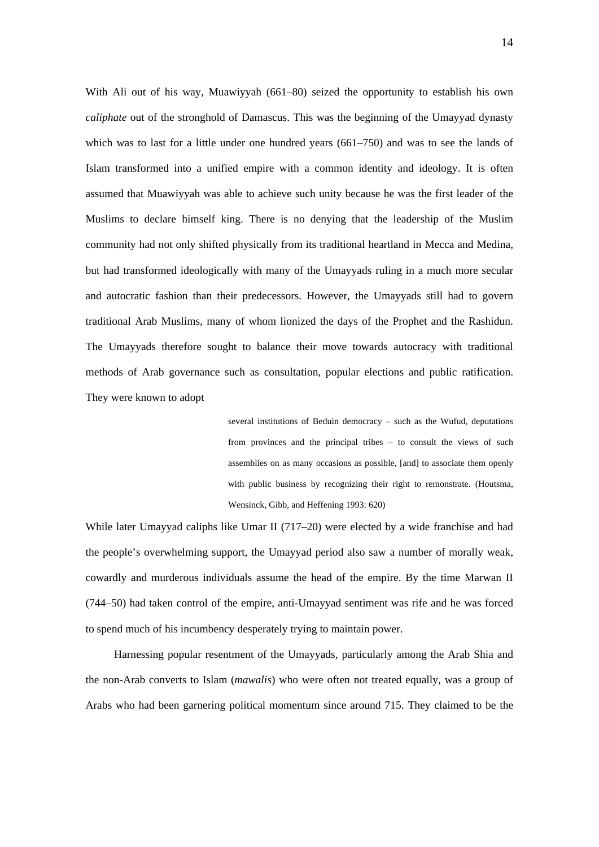With Ali out of his way, Muawiyyah (661–80) seized the opportunity to establish his own *caliphate* out of the stronghold of Damascus. This was the beginning of the Umayyad dynasty which was to last for a little under one hundred years (661–750) and was to see the lands of Islam transformed into a unified empire with a common identity and ideology. It is often assumed that Muawiyyah was able to achieve such unity because he was the first leader of the Muslims to declare himself king. There is no denying that the leadership of the Muslim community had not only shifted physically from its traditional heartland in Mecca and Medina, but had transformed ideologically with many of the Umayyads ruling in a much more secular and autocratic fashion than their predecessors. However, the Umayyads still had to govern traditional Arab Muslims, many of whom lionized the days of the Prophet and the Rashidun. The Umayyads therefore sought to balance their move towards autocracy with traditional methods of Arab governance such as consultation, popular elections and public ratification. They were known to adopt

> several institutions of Beduin democracy – such as the Wufud, deputations from provinces and the principal tribes – to consult the views of such assemblies on as many occasions as possible, [and] to associate them openly with public business by recognizing their right to remonstrate. (Houtsma, Wensinck, Gibb, and Heffening 1993: 620)

While later Umayyad caliphs like Umar II (717–20) were elected by a wide franchise and had the people's overwhelming support, the Umayyad period also saw a number of morally weak, cowardly and murderous individuals assume the head of the empire. By the time Marwan II (744–50) had taken control of the empire, anti-Umayyad sentiment was rife and he was forced to spend much of his incumbency desperately trying to maintain power.

Harnessing popular resentment of the Umayyads, particularly among the Arab Shia and the non-Arab converts to Islam (*mawalis*) who were often not treated equally, was a group of Arabs who had been garnering political momentum since around 715. They claimed to be the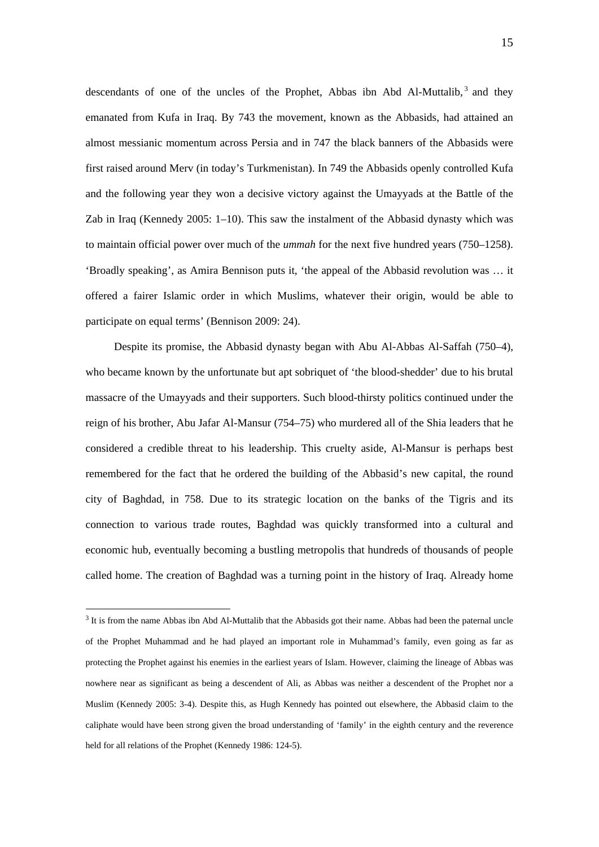descendants of one of the uncles of the Prophet, Abbas ibn Abd Al-Muttalib,  $3$  and they emanated from Kufa in Iraq. By 743 the movement, known as the Abbasids, had attained an almost messianic momentum across Persia and in 747 the black banners of the Abbasids were first raised around Merv (in today's Turkmenistan). In 749 the Abbasids openly controlled Kufa and the following year they won a decisive victory against the Umayyads at the Battle of the Zab in Iraq (Kennedy 2005: 1–10). This saw the instalment of the Abbasid dynasty which was to maintain official power over much of the *ummah* for the next five hundred years (750–1258). 'Broadly speaking', as Amira Bennison puts it, 'the appeal of the Abbasid revolution was … it offered a fairer Islamic order in which Muslims, whatever their origin, would be able to participate on equal terms' (Bennison 2009: 24).

Despite its promise, the Abbasid dynasty began with Abu Al-Abbas Al-Saffah (750–4), who became known by the unfortunate but apt sobriquet of 'the blood-shedder' due to his brutal massacre of the Umayyads and their supporters. Such blood-thirsty politics continued under the reign of his brother, Abu Jafar Al-Mansur (754–75) who murdered all of the Shia leaders that he considered a credible threat to his leadership. This cruelty aside, Al-Mansur is perhaps best remembered for the fact that he ordered the building of the Abbasid's new capital, the round city of Baghdad, in 758. Due to its strategic location on the banks of the Tigris and its connection to various trade routes, Baghdad was quickly transformed into a cultural and economic hub, eventually becoming a bustling metropolis that hundreds of thousands of people called home. The creation of Baghdad was a turning point in the history of Iraq. Already home

<u>.</u>

 $3$  It is from the name Abbas ibn Abd Al-Muttalib that the Abbasids got their name. Abbas had been the paternal uncle of the Prophet Muhammad and he had played an important role in Muhammad's family, even going as far as protecting the Prophet against his enemies in the earliest years of Islam. However, claiming the lineage of Abbas was nowhere near as significant as being a descendent of Ali, as Abbas was neither a descendent of the Prophet nor a Muslim (Kennedy 2005: 3-4). Despite this, as Hugh Kennedy has pointed out elsewhere, the Abbasid claim to the caliphate would have been strong given the broad understanding of 'family' in the eighth century and the reverence held for all relations of the Prophet (Kennedy 1986: 124-5).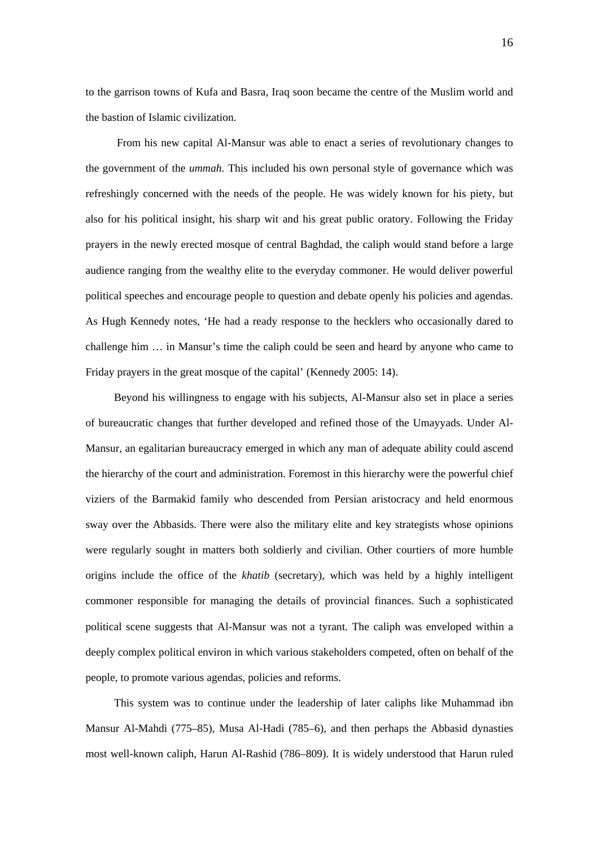to the garrison towns of Kufa and Basra, Iraq soon became the centre of the Muslim world and the bastion of Islamic civilization.

 From his new capital Al-Mansur was able to enact a series of revolutionary changes to the government of the *ummah*. This included his own personal style of governance which was refreshingly concerned with the needs of the people. He was widely known for his piety, but also for his political insight, his sharp wit and his great public oratory. Following the Friday prayers in the newly erected mosque of central Baghdad, the caliph would stand before a large audience ranging from the wealthy elite to the everyday commoner. He would deliver powerful political speeches and encourage people to question and debate openly his policies and agendas. As Hugh Kennedy notes, 'He had a ready response to the hecklers who occasionally dared to challenge him … in Mansur's time the caliph could be seen and heard by anyone who came to Friday prayers in the great mosque of the capital' (Kennedy 2005: 14).

Beyond his willingness to engage with his subjects, Al-Mansur also set in place a series of bureaucratic changes that further developed and refined those of the Umayyads. Under Al-Mansur, an egalitarian bureaucracy emerged in which any man of adequate ability could ascend the hierarchy of the court and administration. Foremost in this hierarchy were the powerful chief viziers of the Barmakid family who descended from Persian aristocracy and held enormous sway over the Abbasids. There were also the military elite and key strategists whose opinions were regularly sought in matters both soldierly and civilian. Other courtiers of more humble origins include the office of the *khatib* (secretary), which was held by a highly intelligent commoner responsible for managing the details of provincial finances. Such a sophisticated political scene suggests that Al-Mansur was not a tyrant. The caliph was enveloped within a deeply complex political environ in which various stakeholders competed, often on behalf of the people, to promote various agendas, policies and reforms.

This system was to continue under the leadership of later caliphs like Muhammad ibn Mansur Al-Mahdi (775–85), Musa Al-Hadi (785–6), and then perhaps the Abbasid dynasties most well-known caliph, Harun Al-Rashid (786–809). It is widely understood that Harun ruled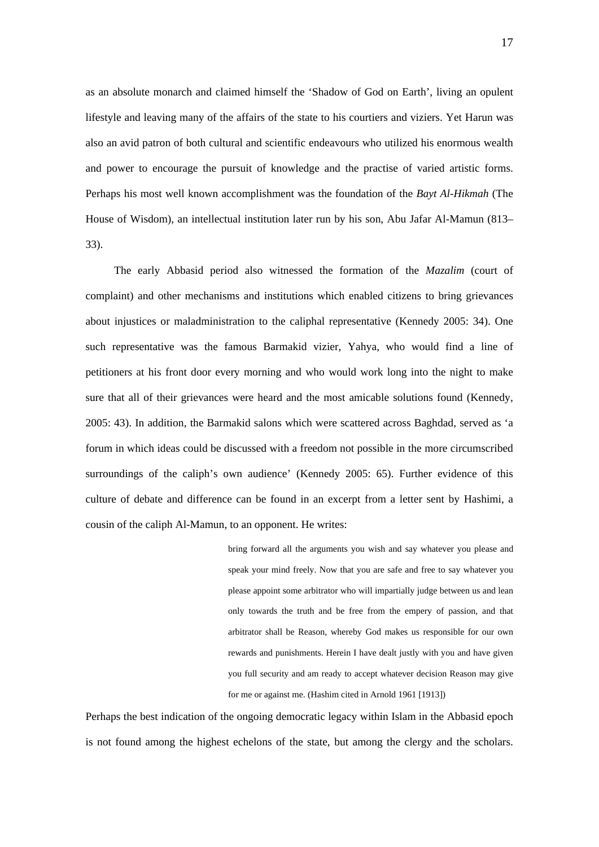as an absolute monarch and claimed himself the 'Shadow of God on Earth', living an opulent lifestyle and leaving many of the affairs of the state to his courtiers and viziers. Yet Harun was also an avid patron of both cultural and scientific endeavours who utilized his enormous wealth and power to encourage the pursuit of knowledge and the practise of varied artistic forms. Perhaps his most well known accomplishment was the foundation of the *Bayt Al-Hikmah* (The House of Wisdom), an intellectual institution later run by his son, Abu Jafar Al-Mamun (813– 33).

The early Abbasid period also witnessed the formation of the *Mazalim* (court of complaint) and other mechanisms and institutions which enabled citizens to bring grievances about injustices or maladministration to the caliphal representative (Kennedy 2005: 34). One such representative was the famous Barmakid vizier, Yahya, who would find a line of petitioners at his front door every morning and who would work long into the night to make sure that all of their grievances were heard and the most amicable solutions found (Kennedy, 2005: 43). In addition, the Barmakid salons which were scattered across Baghdad, served as 'a forum in which ideas could be discussed with a freedom not possible in the more circumscribed surroundings of the caliph's own audience' (Kennedy 2005: 65). Further evidence of this culture of debate and difference can be found in an excerpt from a letter sent by Hashimi, a cousin of the caliph Al-Mamun, to an opponent. He writes:

> bring forward all the arguments you wish and say whatever you please and speak your mind freely. Now that you are safe and free to say whatever you please appoint some arbitrator who will impartially judge between us and lean only towards the truth and be free from the empery of passion, and that arbitrator shall be Reason, whereby God makes us responsible for our own rewards and punishments. Herein I have dealt justly with you and have given you full security and am ready to accept whatever decision Reason may give for me or against me. (Hashim cited in Arnold 1961 [1913])

Perhaps the best indication of the ongoing democratic legacy within Islam in the Abbasid epoch is not found among the highest echelons of the state, but among the clergy and the scholars.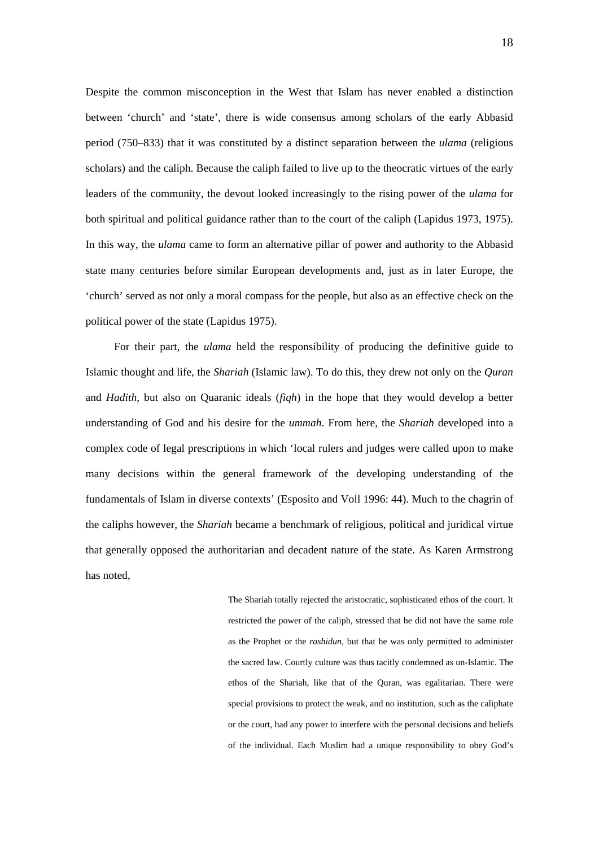Despite the common misconception in the West that Islam has never enabled a distinction between 'church' and 'state', there is wide consensus among scholars of the early Abbasid period (750–833) that it was constituted by a distinct separation between the *ulama* (religious scholars) and the caliph. Because the caliph failed to live up to the theocratic virtues of the early leaders of the community, the devout looked increasingly to the rising power of the *ulama* for both spiritual and political guidance rather than to the court of the caliph (Lapidus 1973, 1975). In this way, the *ulama* came to form an alternative pillar of power and authority to the Abbasid state many centuries before similar European developments and, just as in later Europe, the 'church' served as not only a moral compass for the people, but also as an effective check on the political power of the state (Lapidus 1975).

For their part, the *ulama* held the responsibility of producing the definitive guide to Islamic thought and life, the *Shariah* (Islamic law). To do this, they drew not only on the *Quran* and *Hadith*, but also on Quaranic ideals (*fiqh*) in the hope that they would develop a better understanding of God and his desire for the *ummah*. From here, the *Shariah* developed into a complex code of legal prescriptions in which 'local rulers and judges were called upon to make many decisions within the general framework of the developing understanding of the fundamentals of Islam in diverse contexts' (Esposito and Voll 1996: 44). Much to the chagrin of the caliphs however, the *Shariah* became a benchmark of religious, political and juridical virtue that generally opposed the authoritarian and decadent nature of the state. As Karen Armstrong has noted,

> The Shariah totally rejected the aristocratic, sophisticated ethos of the court. It restricted the power of the caliph, stressed that he did not have the same role as the Prophet or the *rashidun*, but that he was only permitted to administer the sacred law. Courtly culture was thus tacitly condemned as un-Islamic. The ethos of the Shariah, like that of the Quran, was egalitarian. There were special provisions to protect the weak, and no institution, such as the caliphate or the court, had any power to interfere with the personal decisions and beliefs of the individual. Each Muslim had a unique responsibility to obey God's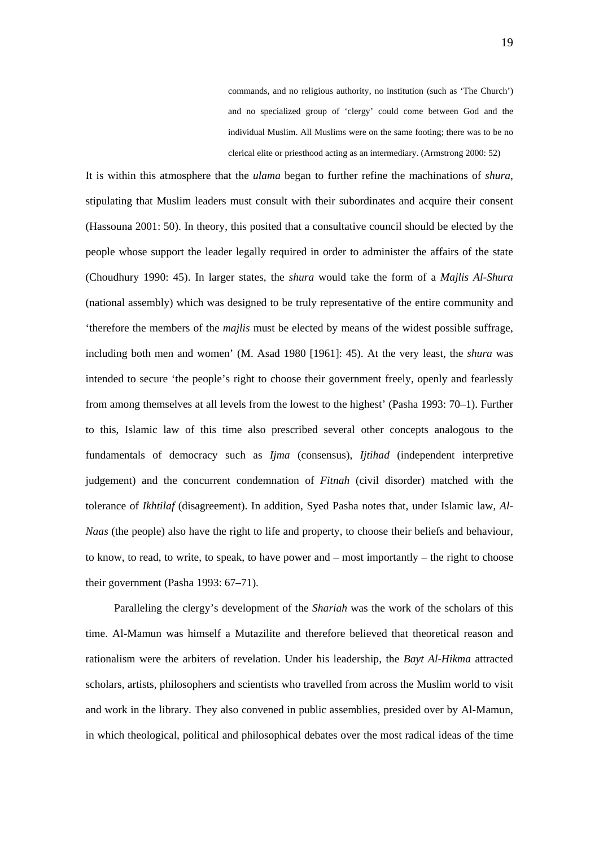commands, and no religious authority, no institution (such as 'The Church') and no specialized group of 'clergy' could come between God and the individual Muslim. All Muslims were on the same footing; there was to be no clerical elite or priesthood acting as an intermediary. (Armstrong 2000: 52)

It is within this atmosphere that the *ulama* began to further refine the machinations of *shura*, stipulating that Muslim leaders must consult with their subordinates and acquire their consent (Hassouna 2001: 50). In theory, this posited that a consultative council should be elected by the people whose support the leader legally required in order to administer the affairs of the state (Choudhury 1990: 45). In larger states, the *shura* would take the form of a *Majlis Al-Shura* (national assembly) which was designed to be truly representative of the entire community and 'therefore the members of the *majlis* must be elected by means of the widest possible suffrage, including both men and women' (M. Asad 1980 [1961]: 45). At the very least, the *shura* was intended to secure 'the people's right to choose their government freely, openly and fearlessly from among themselves at all levels from the lowest to the highest' (Pasha 1993: 70–1). Further to this, Islamic law of this time also prescribed several other concepts analogous to the fundamentals of democracy such as *Ijma* (consensus), *Ijtihad* (independent interpretive judgement) and the concurrent condemnation of *Fitnah* (civil disorder) matched with the tolerance of *Ikhtilaf* (disagreement). In addition, Syed Pasha notes that, under Islamic law, *Al-Naas* (the people) also have the right to life and property, to choose their beliefs and behaviour, to know, to read, to write, to speak, to have power and – most importantly – the right to choose their government (Pasha 1993: 67–71).

Paralleling the clergy's development of the *Shariah* was the work of the scholars of this time. Al-Mamun was himself a Mutazilite and therefore believed that theoretical reason and rationalism were the arbiters of revelation. Under his leadership, the *Bayt Al-Hikma* attracted scholars, artists, philosophers and scientists who travelled from across the Muslim world to visit and work in the library. They also convened in public assemblies, presided over by Al-Mamun, in which theological, political and philosophical debates over the most radical ideas of the time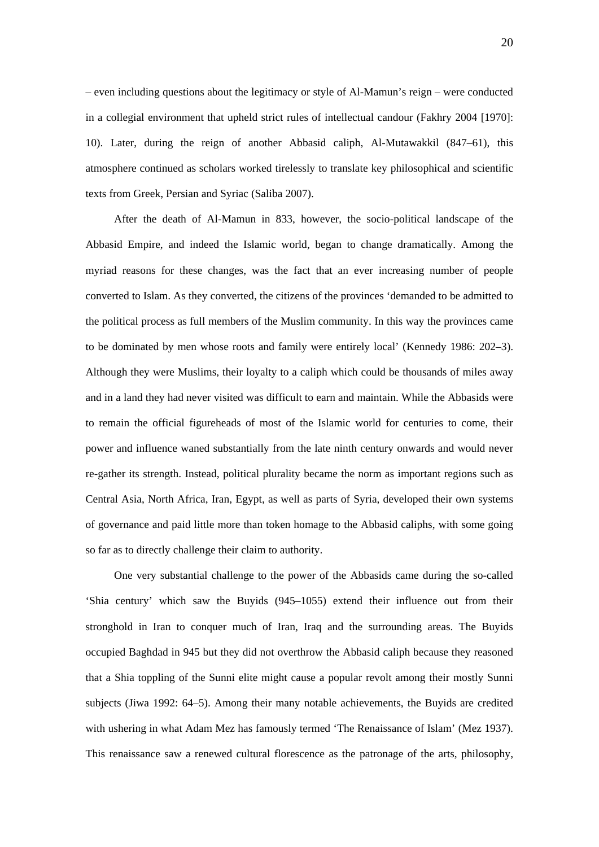– even including questions about the legitimacy or style of Al-Mamun's reign – were conducted in a collegial environment that upheld strict rules of intellectual candour (Fakhry 2004 [1970]: 10). Later, during the reign of another Abbasid caliph, Al-Mutawakkil (847–61), this atmosphere continued as scholars worked tirelessly to translate key philosophical and scientific texts from Greek, Persian and Syriac (Saliba 2007).

After the death of Al-Mamun in 833, however, the socio-political landscape of the Abbasid Empire, and indeed the Islamic world, began to change dramatically. Among the myriad reasons for these changes, was the fact that an ever increasing number of people converted to Islam. As they converted, the citizens of the provinces 'demanded to be admitted to the political process as full members of the Muslim community. In this way the provinces came to be dominated by men whose roots and family were entirely local' (Kennedy 1986: 202–3). Although they were Muslims, their loyalty to a caliph which could be thousands of miles away and in a land they had never visited was difficult to earn and maintain. While the Abbasids were to remain the official figureheads of most of the Islamic world for centuries to come, their power and influence waned substantially from the late ninth century onwards and would never re-gather its strength. Instead, political plurality became the norm as important regions such as Central Asia, North Africa, Iran, Egypt, as well as parts of Syria, developed their own systems of governance and paid little more than token homage to the Abbasid caliphs, with some going so far as to directly challenge their claim to authority.

One very substantial challenge to the power of the Abbasids came during the so-called 'Shia century' which saw the Buyids (945–1055) extend their influence out from their stronghold in Iran to conquer much of Iran, Iraq and the surrounding areas. The Buyids occupied Baghdad in 945 but they did not overthrow the Abbasid caliph because they reasoned that a Shia toppling of the Sunni elite might cause a popular revolt among their mostly Sunni subjects (Jiwa 1992: 64–5). Among their many notable achievements, the Buyids are credited with ushering in what Adam Mez has famously termed 'The Renaissance of Islam' (Mez 1937). This renaissance saw a renewed cultural florescence as the patronage of the arts, philosophy,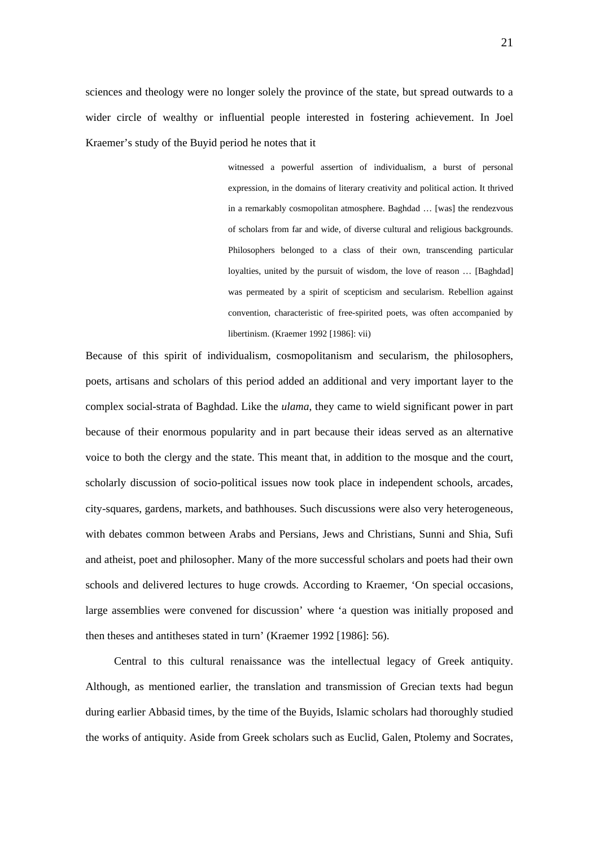sciences and theology were no longer solely the province of the state, but spread outwards to a wider circle of wealthy or influential people interested in fostering achievement. In Joel Kraemer's study of the Buyid period he notes that it

> witnessed a powerful assertion of individualism, a burst of personal expression, in the domains of literary creativity and political action. It thrived in a remarkably cosmopolitan atmosphere. Baghdad … [was] the rendezvous of scholars from far and wide, of diverse cultural and religious backgrounds. Philosophers belonged to a class of their own, transcending particular loyalties, united by the pursuit of wisdom, the love of reason … [Baghdad] was permeated by a spirit of scepticism and secularism. Rebellion against convention, characteristic of free-spirited poets, was often accompanied by libertinism. (Kraemer 1992 [1986]: vii)

Because of this spirit of individualism, cosmopolitanism and secularism, the philosophers, poets, artisans and scholars of this period added an additional and very important layer to the complex social-strata of Baghdad. Like the *ulama*, they came to wield significant power in part because of their enormous popularity and in part because their ideas served as an alternative voice to both the clergy and the state. This meant that, in addition to the mosque and the court, scholarly discussion of socio-political issues now took place in independent schools, arcades, city-squares, gardens, markets, and bathhouses. Such discussions were also very heterogeneous, with debates common between Arabs and Persians, Jews and Christians, Sunni and Shia, Sufi and atheist, poet and philosopher. Many of the more successful scholars and poets had their own schools and delivered lectures to huge crowds. According to Kraemer, 'On special occasions, large assemblies were convened for discussion' where 'a question was initially proposed and then theses and antitheses stated in turn' (Kraemer 1992 [1986]: 56).

Central to this cultural renaissance was the intellectual legacy of Greek antiquity. Although, as mentioned earlier, the translation and transmission of Grecian texts had begun during earlier Abbasid times, by the time of the Buyids, Islamic scholars had thoroughly studied the works of antiquity. Aside from Greek scholars such as Euclid, Galen, Ptolemy and Socrates,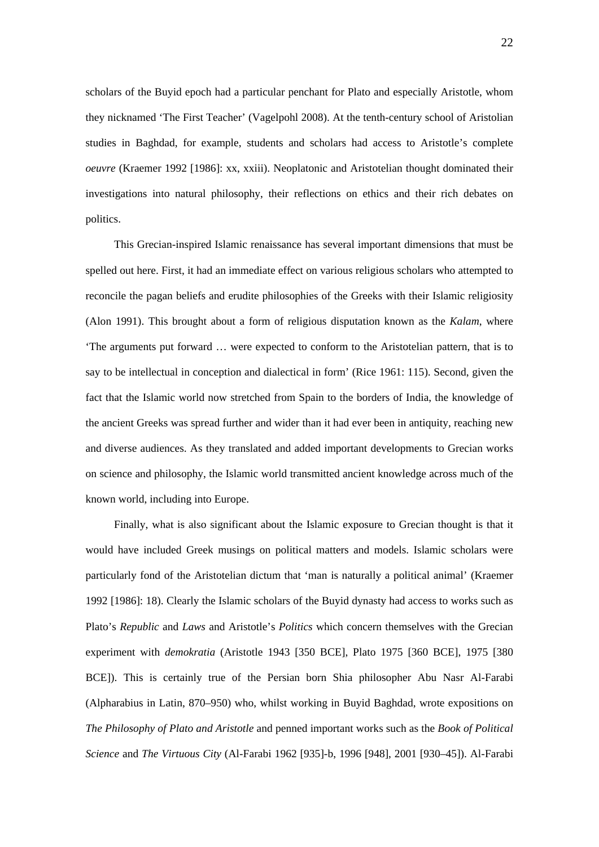scholars of the Buyid epoch had a particular penchant for Plato and especially Aristotle, whom they nicknamed 'The First Teacher' (Vagelpohl 2008). At the tenth-century school of Aristolian studies in Baghdad, for example, students and scholars had access to Aristotle's complete *oeuvre* (Kraemer 1992 [1986]: xx, xxiii). Neoplatonic and Aristotelian thought dominated their investigations into natural philosophy, their reflections on ethics and their rich debates on politics.

This Grecian-inspired Islamic renaissance has several important dimensions that must be spelled out here. First, it had an immediate effect on various religious scholars who attempted to reconcile the pagan beliefs and erudite philosophies of the Greeks with their Islamic religiosity (Alon 1991). This brought about a form of religious disputation known as the *Kalam*, where 'The arguments put forward … were expected to conform to the Aristotelian pattern, that is to say to be intellectual in conception and dialectical in form' (Rice 1961: 115). Second, given the fact that the Islamic world now stretched from Spain to the borders of India, the knowledge of the ancient Greeks was spread further and wider than it had ever been in antiquity, reaching new and diverse audiences. As they translated and added important developments to Grecian works on science and philosophy, the Islamic world transmitted ancient knowledge across much of the known world, including into Europe.

Finally, what is also significant about the Islamic exposure to Grecian thought is that it would have included Greek musings on political matters and models. Islamic scholars were particularly fond of the Aristotelian dictum that 'man is naturally a political animal' (Kraemer 1992 [1986]: 18). Clearly the Islamic scholars of the Buyid dynasty had access to works such as Plato's *Republic* and *Laws* and Aristotle's *Politics* which concern themselves with the Grecian experiment with *demokratia* (Aristotle 1943 [350 BCE], Plato 1975 [360 BCE], 1975 [380 BCE]). This is certainly true of the Persian born Shia philosopher Abu Nasr Al-Farabi (Alpharabius in Latin, 870–950) who, whilst working in Buyid Baghdad, wrote expositions on *The Philosophy of Plato and Aristotle* and penned important works such as the *Book of Political Science* and *The Virtuous City* (Al-Farabi 1962 [935]-b, 1996 [948], 2001 [930–45]). Al-Farabi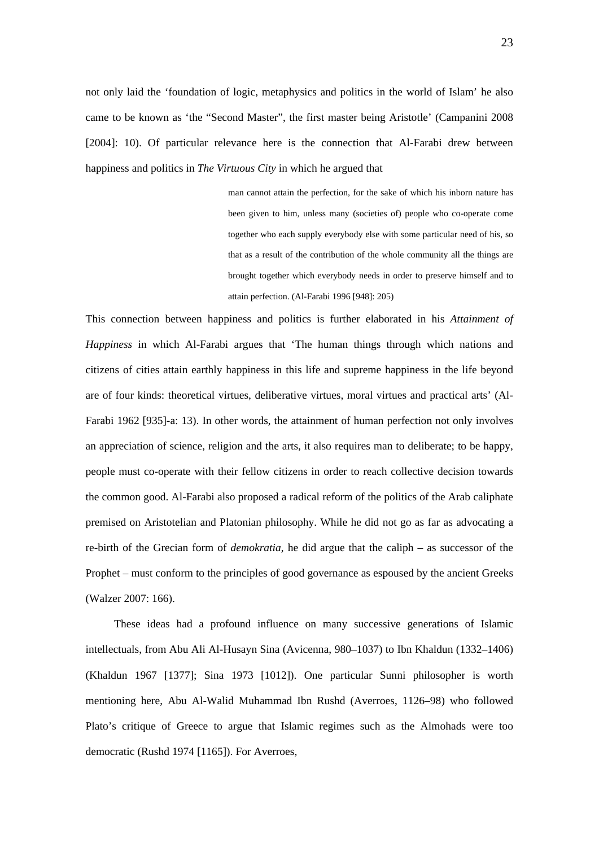not only laid the 'foundation of logic, metaphysics and politics in the world of Islam' he also came to be known as 'the "Second Master", the first master being Aristotle' (Campanini 2008 [2004]: 10). Of particular relevance here is the connection that Al-Farabi drew between happiness and politics in *The Virtuous City* in which he argued that

> man cannot attain the perfection, for the sake of which his inborn nature has been given to him, unless many (societies of) people who co-operate come together who each supply everybody else with some particular need of his, so that as a result of the contribution of the whole community all the things are brought together which everybody needs in order to preserve himself and to attain perfection. (Al-Farabi 1996 [948]: 205)

This connection between happiness and politics is further elaborated in his *Attainment of Happiness* in which Al-Farabi argues that 'The human things through which nations and citizens of cities attain earthly happiness in this life and supreme happiness in the life beyond are of four kinds: theoretical virtues, deliberative virtues, moral virtues and practical arts' (Al-Farabi 1962 [935]-a: 13). In other words, the attainment of human perfection not only involves an appreciation of science, religion and the arts, it also requires man to deliberate; to be happy, people must co-operate with their fellow citizens in order to reach collective decision towards the common good. Al-Farabi also proposed a radical reform of the politics of the Arab caliphate premised on Aristotelian and Platonian philosophy. While he did not go as far as advocating a re-birth of the Grecian form of *demokratia*, he did argue that the caliph – as successor of the Prophet – must conform to the principles of good governance as espoused by the ancient Greeks (Walzer 2007: 166).

These ideas had a profound influence on many successive generations of Islamic intellectuals, from Abu Ali Al-Husayn Sina (Avicenna, 980–1037) to Ibn Khaldun (1332–1406) (Khaldun 1967 [1377]; Sina 1973 [1012]). One particular Sunni philosopher is worth mentioning here, Abu Al-Walid Muhammad Ibn Rushd (Averroes, 1126–98) who followed Plato's critique of Greece to argue that Islamic regimes such as the Almohads were too democratic (Rushd 1974 [1165]). For Averroes,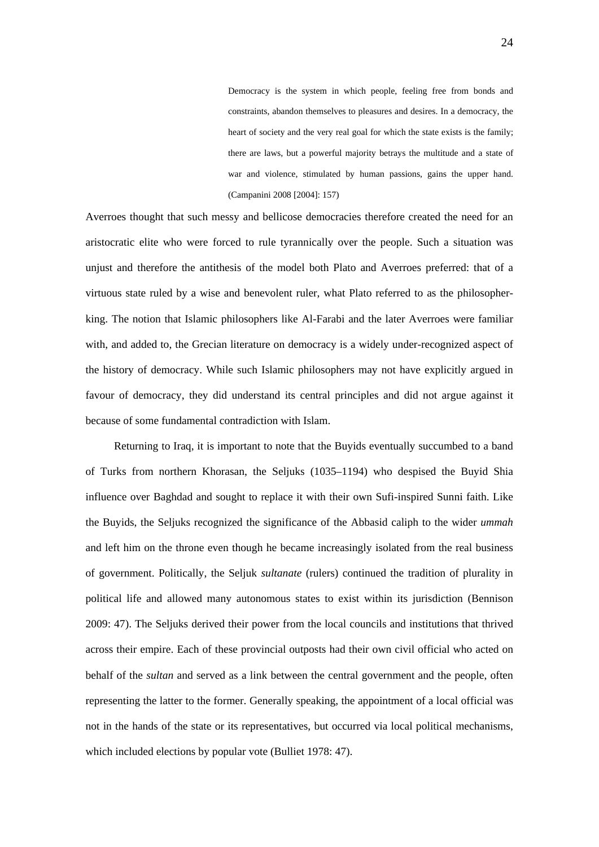Democracy is the system in which people, feeling free from bonds and constraints, abandon themselves to pleasures and desires. In a democracy, the heart of society and the very real goal for which the state exists is the family; there are laws, but a powerful majority betrays the multitude and a state of war and violence, stimulated by human passions, gains the upper hand. (Campanini 2008 [2004]: 157)

Averroes thought that such messy and bellicose democracies therefore created the need for an aristocratic elite who were forced to rule tyrannically over the people. Such a situation was unjust and therefore the antithesis of the model both Plato and Averroes preferred: that of a virtuous state ruled by a wise and benevolent ruler, what Plato referred to as the philosopherking. The notion that Islamic philosophers like Al-Farabi and the later Averroes were familiar with, and added to, the Grecian literature on democracy is a widely under-recognized aspect of the history of democracy. While such Islamic philosophers may not have explicitly argued in favour of democracy, they did understand its central principles and did not argue against it because of some fundamental contradiction with Islam.

Returning to Iraq, it is important to note that the Buyids eventually succumbed to a band of Turks from northern Khorasan, the Seljuks (1035–1194) who despised the Buyid Shia influence over Baghdad and sought to replace it with their own Sufi-inspired Sunni faith. Like the Buyids, the Seljuks recognized the significance of the Abbasid caliph to the wider *ummah* and left him on the throne even though he became increasingly isolated from the real business of government. Politically, the Seljuk *sultanate* (rulers) continued the tradition of plurality in political life and allowed many autonomous states to exist within its jurisdiction (Bennison 2009: 47). The Seljuks derived their power from the local councils and institutions that thrived across their empire. Each of these provincial outposts had their own civil official who acted on behalf of the *sultan* and served as a link between the central government and the people, often representing the latter to the former. Generally speaking, the appointment of a local official was not in the hands of the state or its representatives, but occurred via local political mechanisms, which included elections by popular vote (Bulliet 1978: 47).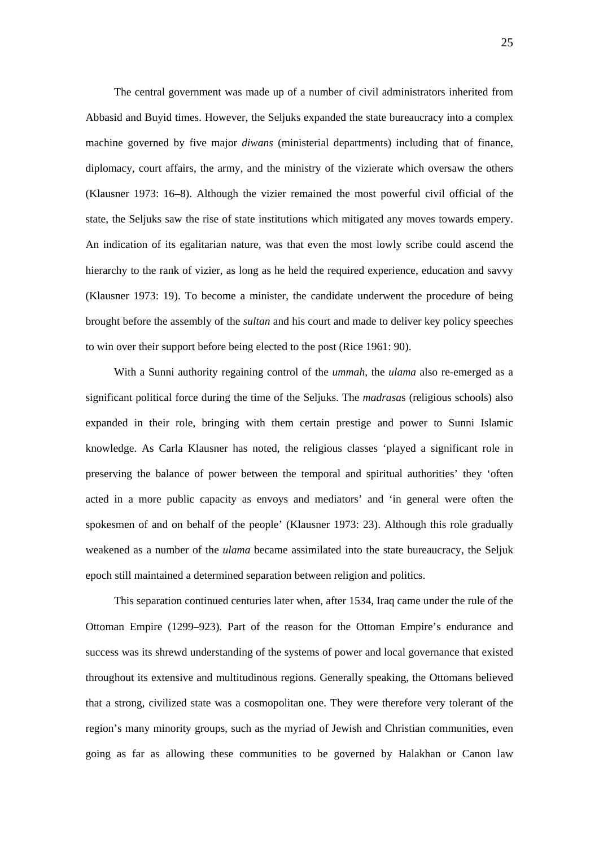The central government was made up of a number of civil administrators inherited from Abbasid and Buyid times. However, the Seljuks expanded the state bureaucracy into a complex machine governed by five major *diwans* (ministerial departments) including that of finance, diplomacy, court affairs, the army, and the ministry of the vizierate which oversaw the others (Klausner 1973: 16–8). Although the vizier remained the most powerful civil official of the state, the Seljuks saw the rise of state institutions which mitigated any moves towards empery. An indication of its egalitarian nature, was that even the most lowly scribe could ascend the hierarchy to the rank of vizier, as long as he held the required experience, education and savvy (Klausner 1973: 19). To become a minister, the candidate underwent the procedure of being brought before the assembly of the *sultan* and his court and made to deliver key policy speeches to win over their support before being elected to the post (Rice 1961: 90).

With a Sunni authority regaining control of the *ummah*, the *ulama* also re-emerged as a significant political force during the time of the Seljuks. The *madrasa*s (religious schools) also expanded in their role, bringing with them certain prestige and power to Sunni Islamic knowledge. As Carla Klausner has noted, the religious classes 'played a significant role in preserving the balance of power between the temporal and spiritual authorities' they 'often acted in a more public capacity as envoys and mediators' and 'in general were often the spokesmen of and on behalf of the people' (Klausner 1973: 23). Although this role gradually weakened as a number of the *ulama* became assimilated into the state bureaucracy, the Seljuk epoch still maintained a determined separation between religion and politics.

This separation continued centuries later when, after 1534, Iraq came under the rule of the Ottoman Empire (1299–923). Part of the reason for the Ottoman Empire's endurance and success was its shrewd understanding of the systems of power and local governance that existed throughout its extensive and multitudinous regions. Generally speaking, the Ottomans believed that a strong, civilized state was a cosmopolitan one. They were therefore very tolerant of the region's many minority groups, such as the myriad of Jewish and Christian communities, even going as far as allowing these communities to be governed by Halakhan or Canon law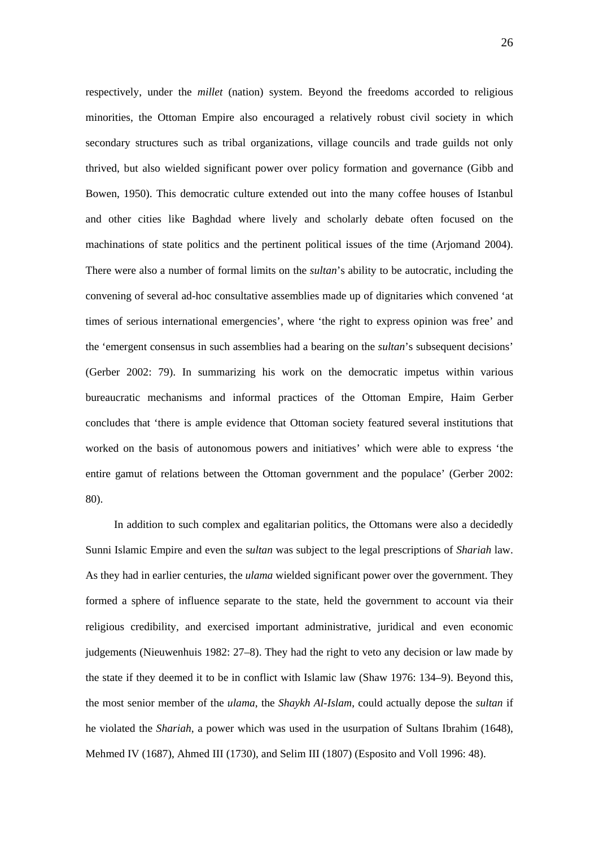respectively, under the *millet* (nation) system. Beyond the freedoms accorded to religious minorities, the Ottoman Empire also encouraged a relatively robust civil society in which secondary structures such as tribal organizations, village councils and trade guilds not only thrived, but also wielded significant power over policy formation and governance (Gibb and Bowen, 1950). This democratic culture extended out into the many coffee houses of Istanbul and other cities like Baghdad where lively and scholarly debate often focused on the machinations of state politics and the pertinent political issues of the time (Arjomand 2004). There were also a number of formal limits on the *sultan*'s ability to be autocratic, including the convening of several ad-hoc consultative assemblies made up of dignitaries which convened 'at times of serious international emergencies', where 'the right to express opinion was free' and the 'emergent consensus in such assemblies had a bearing on the *sultan*'s subsequent decisions' (Gerber 2002: 79). In summarizing his work on the democratic impetus within various bureaucratic mechanisms and informal practices of the Ottoman Empire, Haim Gerber concludes that 'there is ample evidence that Ottoman society featured several institutions that worked on the basis of autonomous powers and initiatives' which were able to express 'the entire gamut of relations between the Ottoman government and the populace' (Gerber 2002: 80).

In addition to such complex and egalitarian politics, the Ottomans were also a decidedly Sunni Islamic Empire and even the s*ultan* was subject to the legal prescriptions of *Shariah* law. As they had in earlier centuries, the *ulama* wielded significant power over the government. They formed a sphere of influence separate to the state, held the government to account via their religious credibility, and exercised important administrative, juridical and even economic judgements (Nieuwenhuis 1982: 27–8). They had the right to veto any decision or law made by the state if they deemed it to be in conflict with Islamic law (Shaw 1976: 134–9). Beyond this, the most senior member of the *ulama*, the *Shaykh Al-Islam*, could actually depose the *sultan* if he violated the *Shariah*, a power which was used in the usurpation of Sultans Ibrahim (1648), Mehmed IV (1687), Ahmed III (1730), and Selim III (1807) (Esposito and Voll 1996: 48).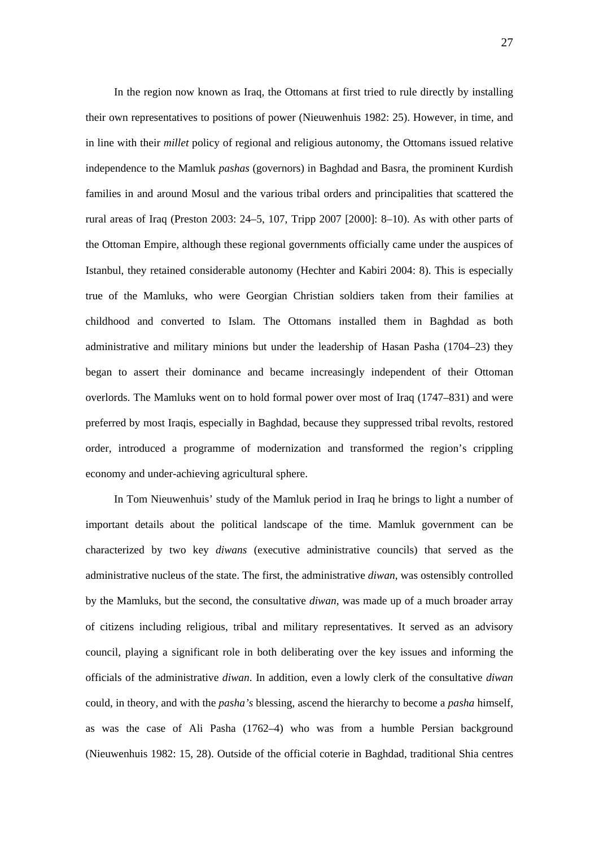In the region now known as Iraq, the Ottomans at first tried to rule directly by installing their own representatives to positions of power (Nieuwenhuis 1982: 25). However, in time, and in line with their *millet* policy of regional and religious autonomy, the Ottomans issued relative independence to the Mamluk *pashas* (governors) in Baghdad and Basra, the prominent Kurdish families in and around Mosul and the various tribal orders and principalities that scattered the rural areas of Iraq (Preston 2003: 24–5, 107, Tripp 2007 [2000]: 8–10). As with other parts of the Ottoman Empire, although these regional governments officially came under the auspices of Istanbul, they retained considerable autonomy (Hechter and Kabiri 2004: 8). This is especially true of the Mamluks, who were Georgian Christian soldiers taken from their families at childhood and converted to Islam. The Ottomans installed them in Baghdad as both administrative and military minions but under the leadership of Hasan Pasha (1704–23) they began to assert their dominance and became increasingly independent of their Ottoman overlords. The Mamluks went on to hold formal power over most of Iraq (1747–831) and were preferred by most Iraqis, especially in Baghdad, because they suppressed tribal revolts, restored order, introduced a programme of modernization and transformed the region's crippling economy and under-achieving agricultural sphere.

In Tom Nieuwenhuis' study of the Mamluk period in Iraq he brings to light a number of important details about the political landscape of the time. Mamluk government can be characterized by two key *diwans* (executive administrative councils) that served as the administrative nucleus of the state. The first, the administrative *diwan*, was ostensibly controlled by the Mamluks, but the second, the consultative *diwan*, was made up of a much broader array of citizens including religious, tribal and military representatives. It served as an advisory council, playing a significant role in both deliberating over the key issues and informing the officials of the administrative *diwan*. In addition, even a lowly clerk of the consultative *diwan* could, in theory, and with the *pasha's* blessing, ascend the hierarchy to become a *pasha* himself, as was the case of Ali Pasha (1762–4) who was from a humble Persian background (Nieuwenhuis 1982: 15, 28). Outside of the official coterie in Baghdad, traditional Shia centres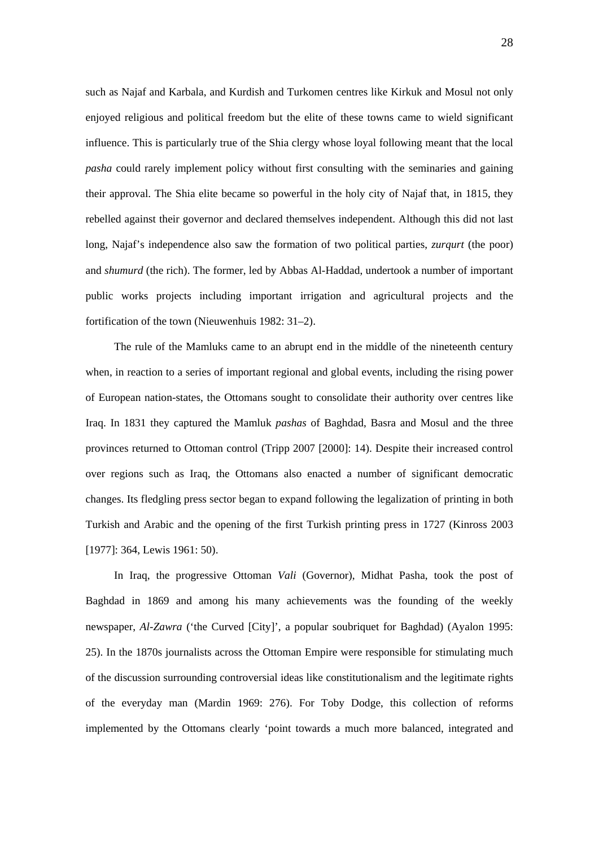such as Najaf and Karbala, and Kurdish and Turkomen centres like Kirkuk and Mosul not only enjoyed religious and political freedom but the elite of these towns came to wield significant influence. This is particularly true of the Shia clergy whose loyal following meant that the local *pasha* could rarely implement policy without first consulting with the seminaries and gaining their approval. The Shia elite became so powerful in the holy city of Najaf that, in 1815, they rebelled against their governor and declared themselves independent. Although this did not last long, Najaf's independence also saw the formation of two political parties, *zurqurt* (the poor) and *shumurd* (the rich). The former, led by Abbas Al-Haddad, undertook a number of important public works projects including important irrigation and agricultural projects and the fortification of the town (Nieuwenhuis 1982: 31–2).

The rule of the Mamluks came to an abrupt end in the middle of the nineteenth century when, in reaction to a series of important regional and global events, including the rising power of European nation-states, the Ottomans sought to consolidate their authority over centres like Iraq. In 1831 they captured the Mamluk *pashas* of Baghdad, Basra and Mosul and the three provinces returned to Ottoman control (Tripp 2007 [2000]: 14). Despite their increased control over regions such as Iraq, the Ottomans also enacted a number of significant democratic changes. Its fledgling press sector began to expand following the legalization of printing in both Turkish and Arabic and the opening of the first Turkish printing press in 1727 (Kinross 2003 [1977]: 364, Lewis 1961: 50).

In Iraq, the progressive Ottoman *Vali* (Governor), Midhat Pasha, took the post of Baghdad in 1869 and among his many achievements was the founding of the weekly newspaper, *Al-Zawra* ('the Curved [City]', a popular soubriquet for Baghdad) (Ayalon 1995: 25). In the 1870s journalists across the Ottoman Empire were responsible for stimulating much of the discussion surrounding controversial ideas like constitutionalism and the legitimate rights of the everyday man (Mardin 1969: 276). For Toby Dodge, this collection of reforms implemented by the Ottomans clearly 'point towards a much more balanced, integrated and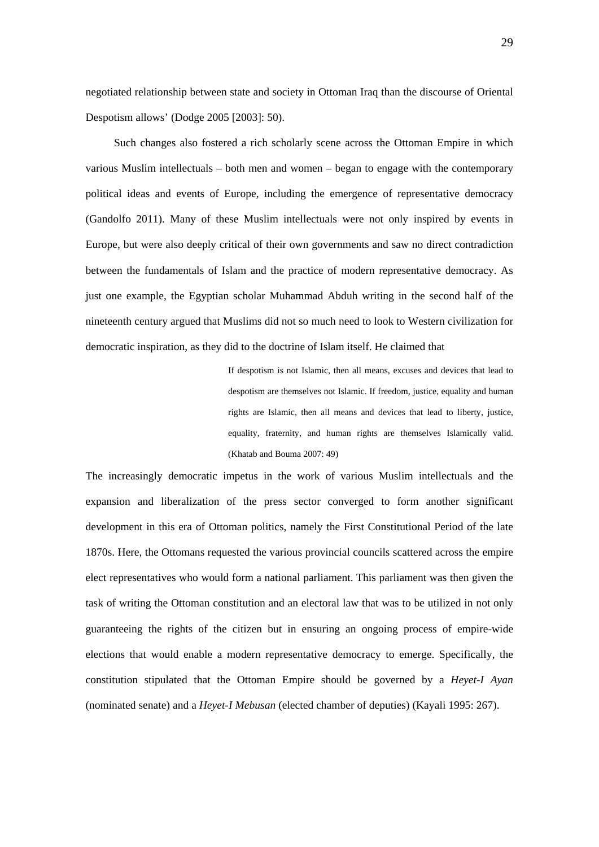negotiated relationship between state and society in Ottoman Iraq than the discourse of Oriental Despotism allows' (Dodge 2005 [2003]: 50).

Such changes also fostered a rich scholarly scene across the Ottoman Empire in which various Muslim intellectuals – both men and women – began to engage with the contemporary political ideas and events of Europe, including the emergence of representative democracy (Gandolfo 2011). Many of these Muslim intellectuals were not only inspired by events in Europe, but were also deeply critical of their own governments and saw no direct contradiction between the fundamentals of Islam and the practice of modern representative democracy. As just one example, the Egyptian scholar Muhammad Abduh writing in the second half of the nineteenth century argued that Muslims did not so much need to look to Western civilization for democratic inspiration, as they did to the doctrine of Islam itself. He claimed that

> If despotism is not Islamic, then all means, excuses and devices that lead to despotism are themselves not Islamic. If freedom, justice, equality and human rights are Islamic, then all means and devices that lead to liberty, justice, equality, fraternity, and human rights are themselves Islamically valid. (Khatab and Bouma 2007: 49)

The increasingly democratic impetus in the work of various Muslim intellectuals and the expansion and liberalization of the press sector converged to form another significant development in this era of Ottoman politics, namely the First Constitutional Period of the late 1870s. Here, the Ottomans requested the various provincial councils scattered across the empire elect representatives who would form a national parliament. This parliament was then given the task of writing the Ottoman constitution and an electoral law that was to be utilized in not only guaranteeing the rights of the citizen but in ensuring an ongoing process of empire-wide elections that would enable a modern representative democracy to emerge. Specifically, the constitution stipulated that the Ottoman Empire should be governed by a *Heyet-I Ayan* (nominated senate) and a *Heyet-I Mebusan* (elected chamber of deputies) (Kayali 1995: 267).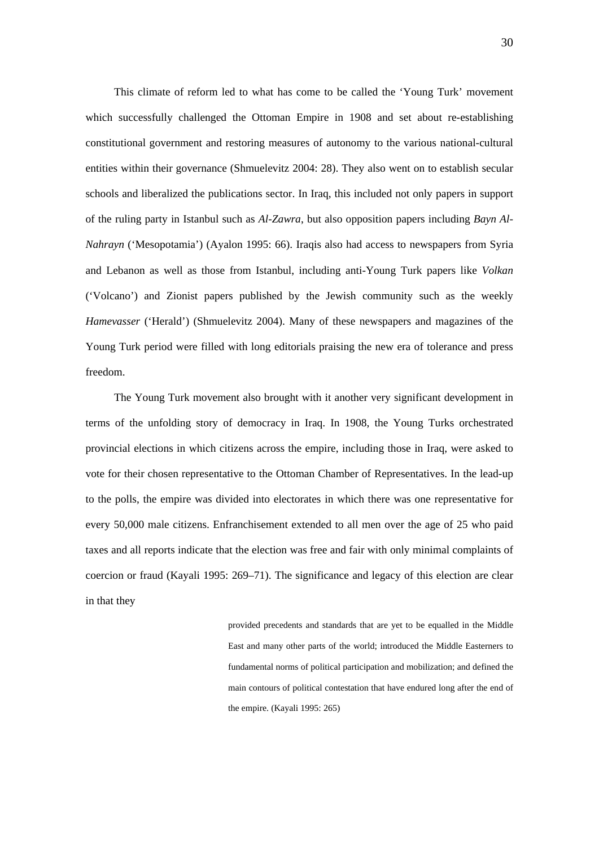This climate of reform led to what has come to be called the 'Young Turk' movement which successfully challenged the Ottoman Empire in 1908 and set about re-establishing constitutional government and restoring measures of autonomy to the various national-cultural entities within their governance (Shmuelevitz 2004: 28). They also went on to establish secular schools and liberalized the publications sector. In Iraq, this included not only papers in support of the ruling party in Istanbul such as *Al-Zawra*, but also opposition papers including *Bayn Al-Nahrayn* ('Mesopotamia') (Ayalon 1995: 66). Iraqis also had access to newspapers from Syria and Lebanon as well as those from Istanbul, including anti-Young Turk papers like *Volkan* ('Volcano') and Zionist papers published by the Jewish community such as the weekly *Hamevasser* ('Herald') (Shmuelevitz 2004). Many of these newspapers and magazines of the Young Turk period were filled with long editorials praising the new era of tolerance and press freedom.

The Young Turk movement also brought with it another very significant development in terms of the unfolding story of democracy in Iraq. In 1908, the Young Turks orchestrated provincial elections in which citizens across the empire, including those in Iraq, were asked to vote for their chosen representative to the Ottoman Chamber of Representatives. In the lead-up to the polls, the empire was divided into electorates in which there was one representative for every 50,000 male citizens. Enfranchisement extended to all men over the age of 25 who paid taxes and all reports indicate that the election was free and fair with only minimal complaints of coercion or fraud (Kayali 1995: 269–71). The significance and legacy of this election are clear in that they

> provided precedents and standards that are yet to be equalled in the Middle East and many other parts of the world; introduced the Middle Easterners to fundamental norms of political participation and mobilization; and defined the main contours of political contestation that have endured long after the end of the empire. (Kayali 1995: 265)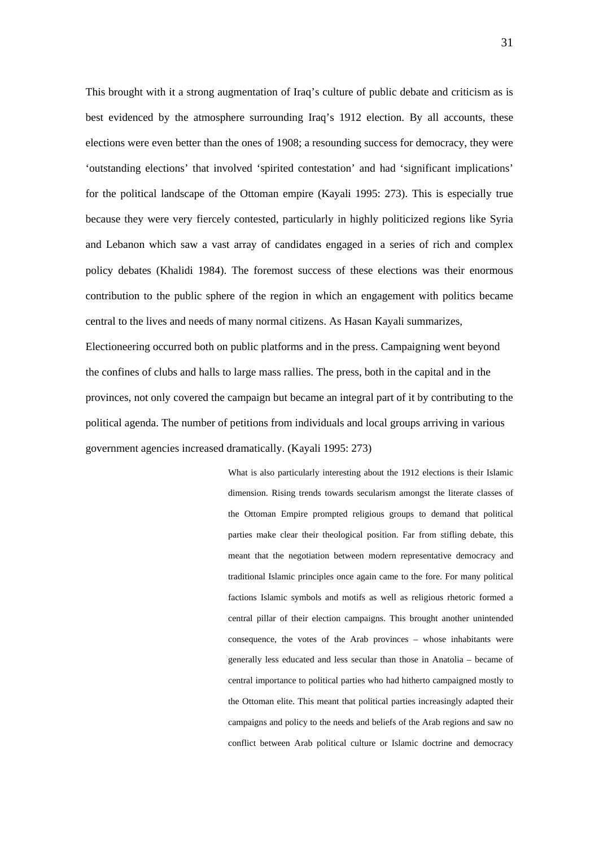This brought with it a strong augmentation of Iraq's culture of public debate and criticism as is best evidenced by the atmosphere surrounding Iraq's 1912 election. By all accounts, these elections were even better than the ones of 1908; a resounding success for democracy, they were 'outstanding elections' that involved 'spirited contestation' and had 'significant implications' for the political landscape of the Ottoman empire (Kayali 1995: 273). This is especially true because they were very fiercely contested, particularly in highly politicized regions like Syria and Lebanon which saw a vast array of candidates engaged in a series of rich and complex policy debates (Khalidi 1984). The foremost success of these elections was their enormous contribution to the public sphere of the region in which an engagement with politics became central to the lives and needs of many normal citizens. As Hasan Kayali summarizes, Electioneering occurred both on public platforms and in the press. Campaigning went beyond the confines of clubs and halls to large mass rallies. The press, both in the capital and in the provinces, not only covered the campaign but became an integral part of it by contributing to the political agenda. The number of petitions from individuals and local groups arriving in various government agencies increased dramatically. (Kayali 1995: 273)

> What is also particularly interesting about the 1912 elections is their Islamic dimension. Rising trends towards secularism amongst the literate classes of the Ottoman Empire prompted religious groups to demand that political parties make clear their theological position. Far from stifling debate, this meant that the negotiation between modern representative democracy and traditional Islamic principles once again came to the fore. For many political factions Islamic symbols and motifs as well as religious rhetoric formed a central pillar of their election campaigns. This brought another unintended consequence, the votes of the Arab provinces – whose inhabitants were generally less educated and less secular than those in Anatolia – became of central importance to political parties who had hitherto campaigned mostly to the Ottoman elite. This meant that political parties increasingly adapted their campaigns and policy to the needs and beliefs of the Arab regions and saw no conflict between Arab political culture or Islamic doctrine and democracy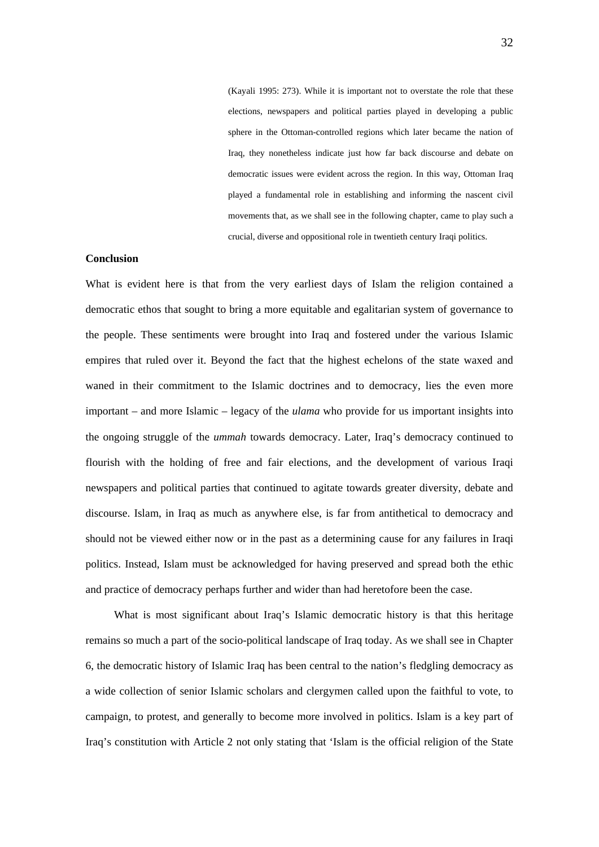(Kayali 1995: 273). While it is important not to overstate the role that these elections, newspapers and political parties played in developing a public sphere in the Ottoman-controlled regions which later became the nation of Iraq, they nonetheless indicate just how far back discourse and debate on democratic issues were evident across the region. In this way, Ottoman Iraq played a fundamental role in establishing and informing the nascent civil movements that, as we shall see in the following chapter, came to play such a crucial, diverse and oppositional role in twentieth century Iraqi politics.

#### **Conclusion**

What is evident here is that from the very earliest days of Islam the religion contained a democratic ethos that sought to bring a more equitable and egalitarian system of governance to the people. These sentiments were brought into Iraq and fostered under the various Islamic empires that ruled over it. Beyond the fact that the highest echelons of the state waxed and waned in their commitment to the Islamic doctrines and to democracy, lies the even more important – and more Islamic – legacy of the *ulama* who provide for us important insights into the ongoing struggle of the *ummah* towards democracy. Later, Iraq's democracy continued to flourish with the holding of free and fair elections, and the development of various Iraqi newspapers and political parties that continued to agitate towards greater diversity, debate and discourse. Islam, in Iraq as much as anywhere else, is far from antithetical to democracy and should not be viewed either now or in the past as a determining cause for any failures in Iraqi politics. Instead, Islam must be acknowledged for having preserved and spread both the ethic and practice of democracy perhaps further and wider than had heretofore been the case.

What is most significant about Iraq's Islamic democratic history is that this heritage remains so much a part of the socio-political landscape of Iraq today. As we shall see in Chapter 6, the democratic history of Islamic Iraq has been central to the nation's fledgling democracy as a wide collection of senior Islamic scholars and clergymen called upon the faithful to vote, to campaign, to protest, and generally to become more involved in politics. Islam is a key part of Iraq's constitution with Article 2 not only stating that 'Islam is the official religion of the State